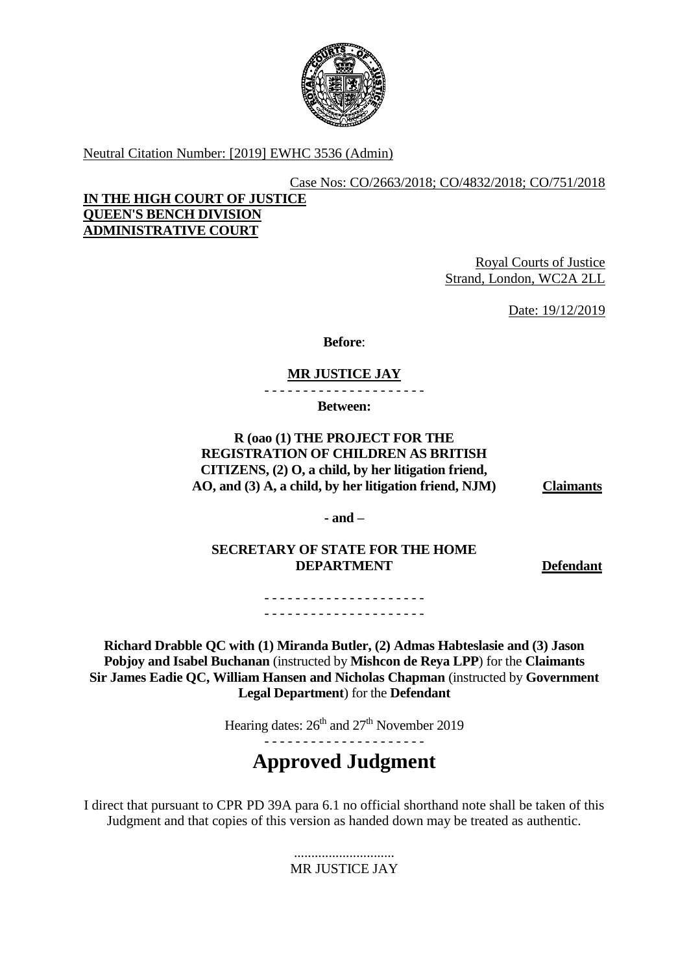

Neutral Citation Number: [2019] EWHC 3536 (Admin)

## Case Nos: CO/2663/2018; CO/4832/2018; CO/751/2018

## **IN THE HIGH COURT OF JUSTICE QUEEN'S BENCH DIVISION ADMINISTRATIVE COURT**

Royal Courts of Justice Strand, London, WC2A 2LL

Date: 19/12/2019

**Before**:

# **MR JUSTICE JAY**

- - - - - - - - - - - - - - - - - - - - -

**Between:**

**R (oao (1) THE PROJECT FOR THE REGISTRATION OF CHILDREN AS BRITISH CITIZENS, (2) O, a child, by her litigation friend, AO, and (3) A, a child, by her litigation friend, NJM) Claimants**

**- and –**

**SECRETARY OF STATE FOR THE HOME DEPARTMENT Defendant**

- - - - - - - - - - - - - - - - - - - - - - - - - - - - - - - - - - - - - - - - - -

**Richard Drabble QC with (1) Miranda Butler, (2) Admas Habteslasie and (3) Jason Pobjoy and Isabel Buchanan** (instructed by **Mishcon de Reya LPP**) for the **Claimants Sir James Eadie QC, William Hansen and Nicholas Chapman** (instructed by **Government Legal Department**) for the **Defendant**

Hearing dates:  $26<sup>th</sup>$  and  $27<sup>th</sup>$  November 2019

- - - - - - - - - - - - - - - - - - - - -

**Approved Judgment**

I direct that pursuant to CPR PD 39A para 6.1 no official shorthand note shall be taken of this Judgment and that copies of this version as handed down may be treated as authentic.

> ............................. MR JUSTICE JAY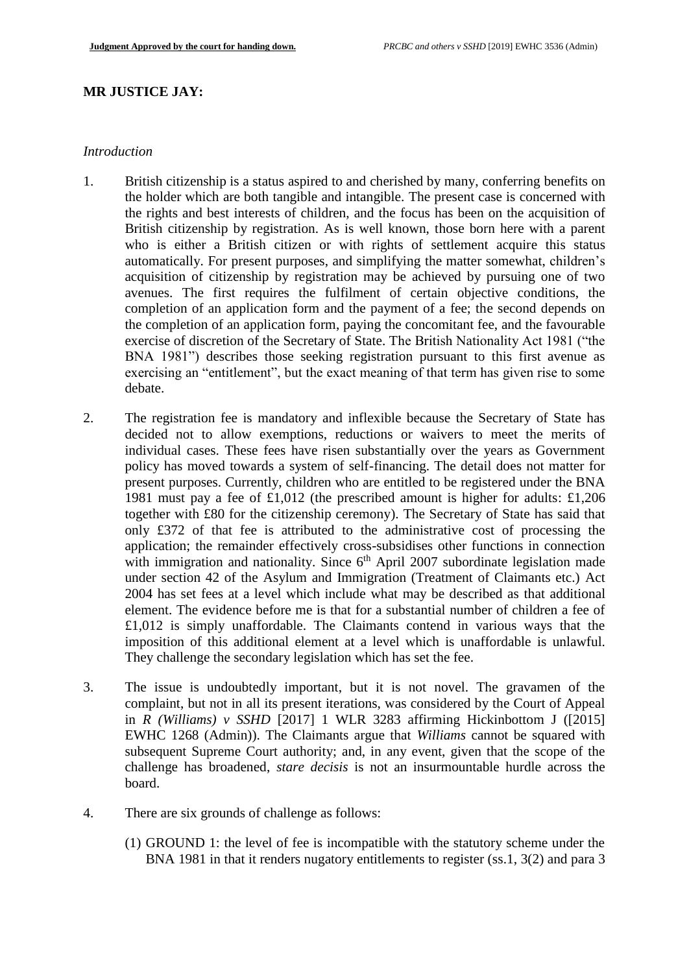### **MR JUSTICE JAY:**

#### *Introduction*

- 1. British citizenship is a status aspired to and cherished by many, conferring benefits on the holder which are both tangible and intangible. The present case is concerned with the rights and best interests of children, and the focus has been on the acquisition of British citizenship by registration. As is well known, those born here with a parent who is either a British citizen or with rights of settlement acquire this status automatically. For present purposes, and simplifying the matter somewhat, children's acquisition of citizenship by registration may be achieved by pursuing one of two avenues. The first requires the fulfilment of certain objective conditions, the completion of an application form and the payment of a fee; the second depends on the completion of an application form, paying the concomitant fee, and the favourable exercise of discretion of the Secretary of State. The British Nationality Act 1981 ("the BNA 1981") describes those seeking registration pursuant to this first avenue as exercising an "entitlement", but the exact meaning of that term has given rise to some debate.
- 2. The registration fee is mandatory and inflexible because the Secretary of State has decided not to allow exemptions, reductions or waivers to meet the merits of individual cases. These fees have risen substantially over the years as Government policy has moved towards a system of self-financing. The detail does not matter for present purposes. Currently, children who are entitled to be registered under the BNA 1981 must pay a fee of £1,012 (the prescribed amount is higher for adults: £1,206 together with £80 for the citizenship ceremony). The Secretary of State has said that only £372 of that fee is attributed to the administrative cost of processing the application; the remainder effectively cross-subsidises other functions in connection with immigration and nationality. Since  $6<sup>th</sup>$  April 2007 subordinate legislation made under section 42 of the Asylum and Immigration (Treatment of Claimants etc.) Act 2004 has set fees at a level which include what may be described as that additional element. The evidence before me is that for a substantial number of children a fee of £1,012 is simply unaffordable. The Claimants contend in various ways that the imposition of this additional element at a level which is unaffordable is unlawful. They challenge the secondary legislation which has set the fee.
- 3. The issue is undoubtedly important, but it is not novel. The gravamen of the complaint, but not in all its present iterations, was considered by the Court of Appeal in *R (Williams) v SSHD* [2017] 1 WLR 3283 affirming Hickinbottom J ([2015] EWHC 1268 (Admin)). The Claimants argue that *Williams* cannot be squared with subsequent Supreme Court authority; and, in any event, given that the scope of the challenge has broadened, *stare decisis* is not an insurmountable hurdle across the board.
- 4. There are six grounds of challenge as follows:
	- (1) GROUND 1: the level of fee is incompatible with the statutory scheme under the BNA 1981 in that it renders nugatory entitlements to register (ss.1, 3(2) and para 3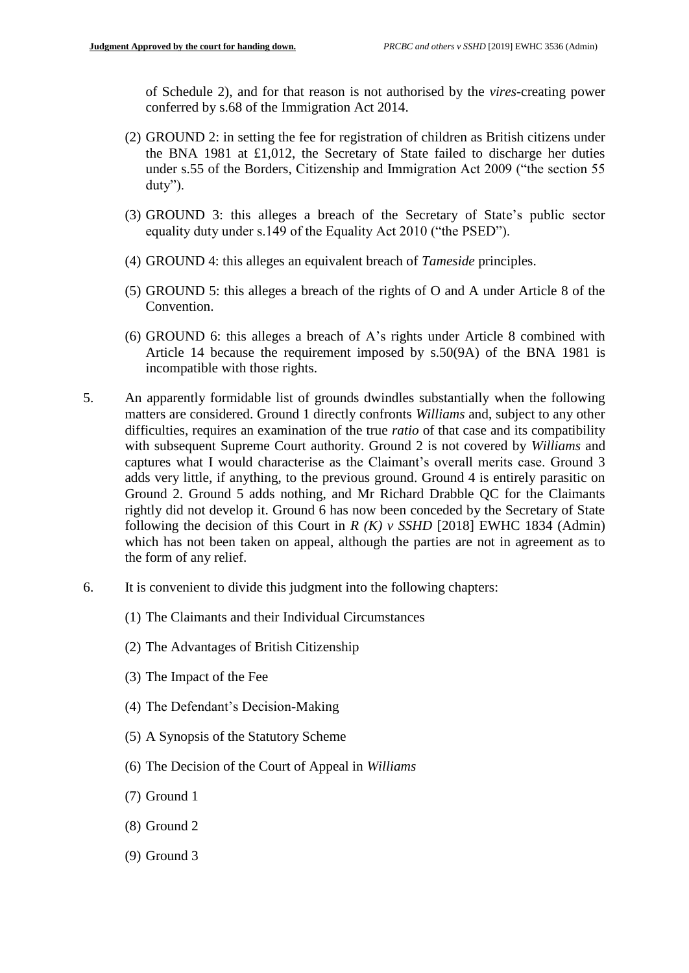of Schedule 2), and for that reason is not authorised by the *vires*-creating power conferred by s.68 of the Immigration Act 2014.

- (2) GROUND 2: in setting the fee for registration of children as British citizens under the BNA 1981 at £1,012, the Secretary of State failed to discharge her duties under s.55 of the Borders, Citizenship and Immigration Act 2009 ("the section 55 duty").
- (3) GROUND 3: this alleges a breach of the Secretary of State's public sector equality duty under s.149 of the Equality Act 2010 ("the PSED").
- (4) GROUND 4: this alleges an equivalent breach of *Tameside* principles.
- (5) GROUND 5: this alleges a breach of the rights of O and A under Article 8 of the Convention.
- (6) GROUND 6: this alleges a breach of A's rights under Article 8 combined with Article 14 because the requirement imposed by s.50(9A) of the BNA 1981 is incompatible with those rights.
- 5. An apparently formidable list of grounds dwindles substantially when the following matters are considered. Ground 1 directly confronts *Williams* and, subject to any other difficulties, requires an examination of the true *ratio* of that case and its compatibility with subsequent Supreme Court authority. Ground 2 is not covered by *Williams* and captures what I would characterise as the Claimant's overall merits case. Ground 3 adds very little, if anything, to the previous ground. Ground 4 is entirely parasitic on Ground 2. Ground 5 adds nothing, and Mr Richard Drabble QC for the Claimants rightly did not develop it. Ground 6 has now been conceded by the Secretary of State following the decision of this Court in  $R(K)$  v SSHD [2018] EWHC 1834 (Admin) which has not been taken on appeal, although the parties are not in agreement as to the form of any relief.
- 6. It is convenient to divide this judgment into the following chapters:
	- (1) The Claimants and their Individual Circumstances
	- (2) The Advantages of British Citizenship
	- (3) The Impact of the Fee
	- (4) The Defendant's Decision-Making
	- (5) A Synopsis of the Statutory Scheme
	- (6) The Decision of the Court of Appeal in *Williams*
	- (7) Ground 1
	- (8) Ground 2
	- (9) Ground 3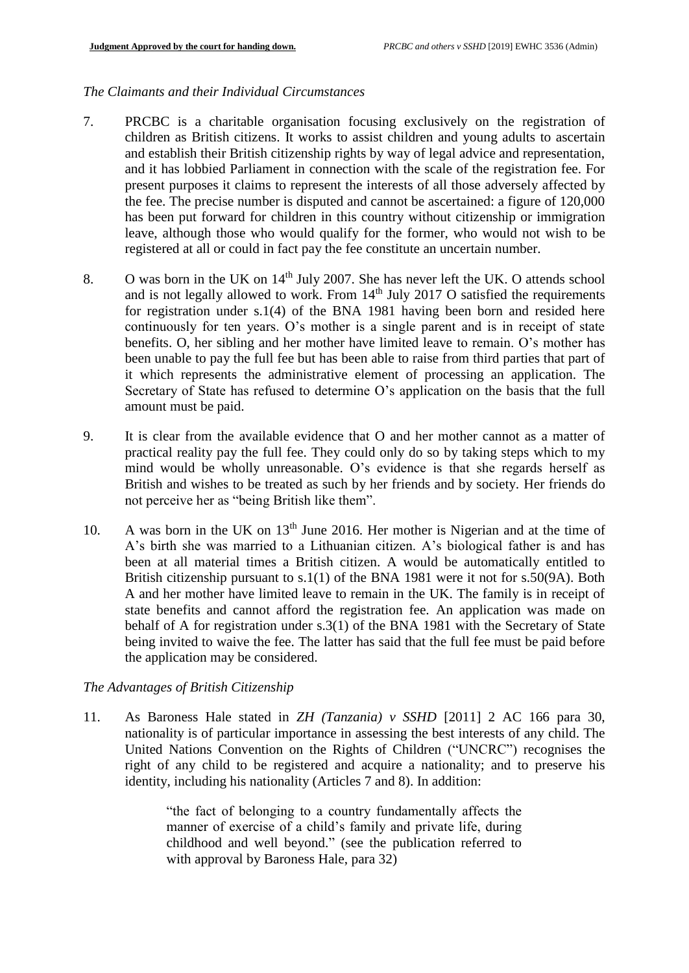### *The Claimants and their Individual Circumstances*

- 7. PRCBC is a charitable organisation focusing exclusively on the registration of children as British citizens. It works to assist children and young adults to ascertain and establish their British citizenship rights by way of legal advice and representation, and it has lobbied Parliament in connection with the scale of the registration fee. For present purposes it claims to represent the interests of all those adversely affected by the fee. The precise number is disputed and cannot be ascertained: a figure of 120,000 has been put forward for children in this country without citizenship or immigration leave, although those who would qualify for the former, who would not wish to be registered at all or could in fact pay the fee constitute an uncertain number.
- 8. O was born in the UK on  $14<sup>th</sup>$  July 2007. She has never left the UK. O attends school and is not legally allowed to work. From  $14<sup>th</sup>$  July 2017 O satisfied the requirements for registration under s.1(4) of the BNA 1981 having been born and resided here continuously for ten years. O's mother is a single parent and is in receipt of state benefits. O, her sibling and her mother have limited leave to remain. O's mother has been unable to pay the full fee but has been able to raise from third parties that part of it which represents the administrative element of processing an application. The Secretary of State has refused to determine O's application on the basis that the full amount must be paid.
- 9. It is clear from the available evidence that O and her mother cannot as a matter of practical reality pay the full fee. They could only do so by taking steps which to my mind would be wholly unreasonable. O's evidence is that she regards herself as British and wishes to be treated as such by her friends and by society. Her friends do not perceive her as "being British like them".
- 10. A was born in the UK on 13<sup>th</sup> June 2016. Her mother is Nigerian and at the time of A's birth she was married to a Lithuanian citizen. A's biological father is and has been at all material times a British citizen. A would be automatically entitled to British citizenship pursuant to s.1(1) of the BNA 1981 were it not for s.50(9A). Both A and her mother have limited leave to remain in the UK. The family is in receipt of state benefits and cannot afford the registration fee. An application was made on behalf of A for registration under s.3(1) of the BNA 1981 with the Secretary of State being invited to waive the fee. The latter has said that the full fee must be paid before the application may be considered.

#### *The Advantages of British Citizenship*

11. As Baroness Hale stated in *ZH (Tanzania) v SSHD* [2011] 2 AC 166 para 30, nationality is of particular importance in assessing the best interests of any child. The United Nations Convention on the Rights of Children ("UNCRC") recognises the right of any child to be registered and acquire a nationality; and to preserve his identity, including his nationality (Articles 7 and 8). In addition:

> "the fact of belonging to a country fundamentally affects the manner of exercise of a child's family and private life, during childhood and well beyond." (see the publication referred to with approval by Baroness Hale, para 32)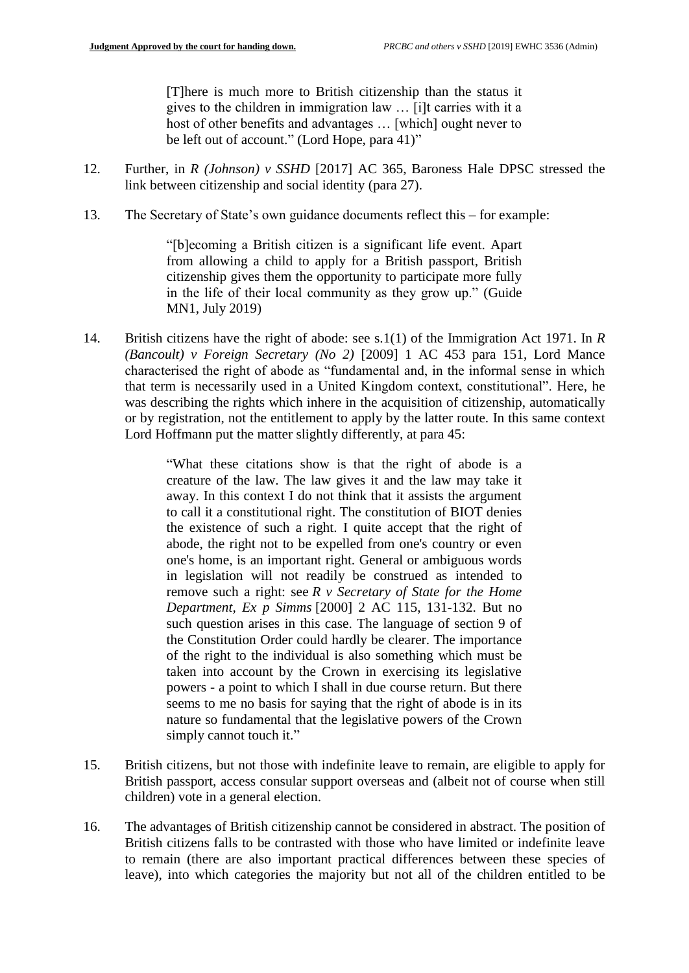[T]here is much more to British citizenship than the status it gives to the children in immigration law … [i]t carries with it a host of other benefits and advantages … [which] ought never to be left out of account." (Lord Hope, para 41)"

- 12. Further, in *R (Johnson) v SSHD* [2017] AC 365, Baroness Hale DPSC stressed the link between citizenship and social identity (para 27).
- 13. The Secretary of State's own guidance documents reflect this for example:

"[b]ecoming a British citizen is a significant life event. Apart from allowing a child to apply for a British passport, British citizenship gives them the opportunity to participate more fully in the life of their local community as they grow up." (Guide MN1, July 2019)

14. British citizens have the right of abode: see s.1(1) of the Immigration Act 1971. In *R (Bancoult) v Foreign Secretary (No 2)* [2009] 1 AC 453 para 151, Lord Mance characterised the right of abode as "fundamental and, in the informal sense in which that term is necessarily used in a United Kingdom context, constitutional". Here, he was describing the rights which inhere in the acquisition of citizenship, automatically or by registration, not the entitlement to apply by the latter route. In this same context Lord Hoffmann put the matter slightly differently, at para 45:

> "What these citations show is that the right of abode is a creature of the law. The law gives it and the law may take it away. In this context I do not think that it assists the argument to call it a constitutional right. The constitution of BIOT denies the existence of such a right. I quite accept that the right of abode, the right not to be expelled from one's country or even one's home, is an important right. General or ambiguous words in legislation will not readily be construed as intended to remove such a right: see *R v Secretary of State for the Home Department, Ex p Simms* [\[2000\] 2 AC 115,](https://www.bailii.org/cgi-bin/redirect.cgi?path=/uk/cases/UKHL/1999/33.html) 131-132. But no such question arises in this case. The language of section 9 of the Constitution Order could hardly be clearer. The importance of the right to the individual is also something which must be taken into account by the Crown in exercising its legislative powers - a point to which I shall in due course return. But there seems to me no basis for saying that the right of abode is in its nature so fundamental that the legislative powers of the Crown simply cannot touch it."

- 15. British citizens, but not those with indefinite leave to remain, are eligible to apply for British passport, access consular support overseas and (albeit not of course when still children) vote in a general election.
- 16. The advantages of British citizenship cannot be considered in abstract. The position of British citizens falls to be contrasted with those who have limited or indefinite leave to remain (there are also important practical differences between these species of leave), into which categories the majority but not all of the children entitled to be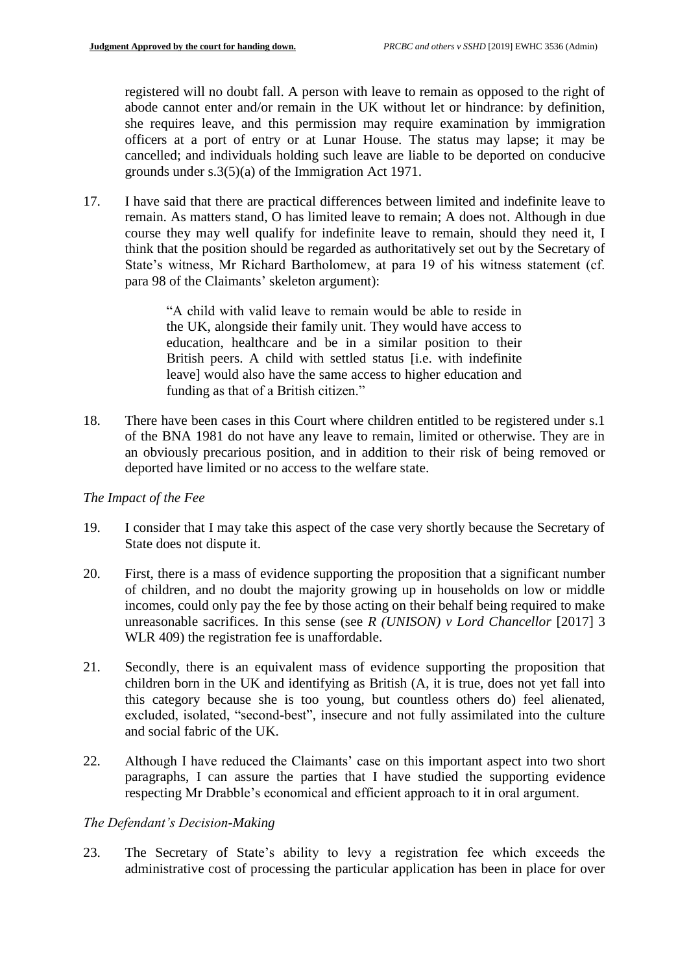registered will no doubt fall. A person with leave to remain as opposed to the right of abode cannot enter and/or remain in the UK without let or hindrance: by definition, she requires leave, and this permission may require examination by immigration officers at a port of entry or at Lunar House. The status may lapse; it may be cancelled; and individuals holding such leave are liable to be deported on conducive grounds under s.3(5)(a) of the Immigration Act 1971.

17. I have said that there are practical differences between limited and indefinite leave to remain. As matters stand, O has limited leave to remain; A does not. Although in due course they may well qualify for indefinite leave to remain, should they need it, I think that the position should be regarded as authoritatively set out by the Secretary of State's witness, Mr Richard Bartholomew, at para 19 of his witness statement (cf. para 98 of the Claimants' skeleton argument):

> "A child with valid leave to remain would be able to reside in the UK, alongside their family unit. They would have access to education, healthcare and be in a similar position to their British peers. A child with settled status [i.e. with indefinite leave] would also have the same access to higher education and funding as that of a British citizen."

18. There have been cases in this Court where children entitled to be registered under s.1 of the BNA 1981 do not have any leave to remain, limited or otherwise. They are in an obviously precarious position, and in addition to their risk of being removed or deported have limited or no access to the welfare state.

### *The Impact of the Fee*

- 19. I consider that I may take this aspect of the case very shortly because the Secretary of State does not dispute it.
- 20. First, there is a mass of evidence supporting the proposition that a significant number of children, and no doubt the majority growing up in households on low or middle incomes, could only pay the fee by those acting on their behalf being required to make unreasonable sacrifices. In this sense (see *R (UNISON) v Lord Chancellor* [2017] 3 WLR 409) the registration fee is unaffordable.
- 21. Secondly, there is an equivalent mass of evidence supporting the proposition that children born in the UK and identifying as British (A, it is true, does not yet fall into this category because she is too young, but countless others do) feel alienated, excluded, isolated, "second-best", insecure and not fully assimilated into the culture and social fabric of the UK.
- 22. Although I have reduced the Claimants' case on this important aspect into two short paragraphs, I can assure the parties that I have studied the supporting evidence respecting Mr Drabble's economical and efficient approach to it in oral argument.

### *The Defendant's Decision-Making*

23. The Secretary of State's ability to levy a registration fee which exceeds the administrative cost of processing the particular application has been in place for over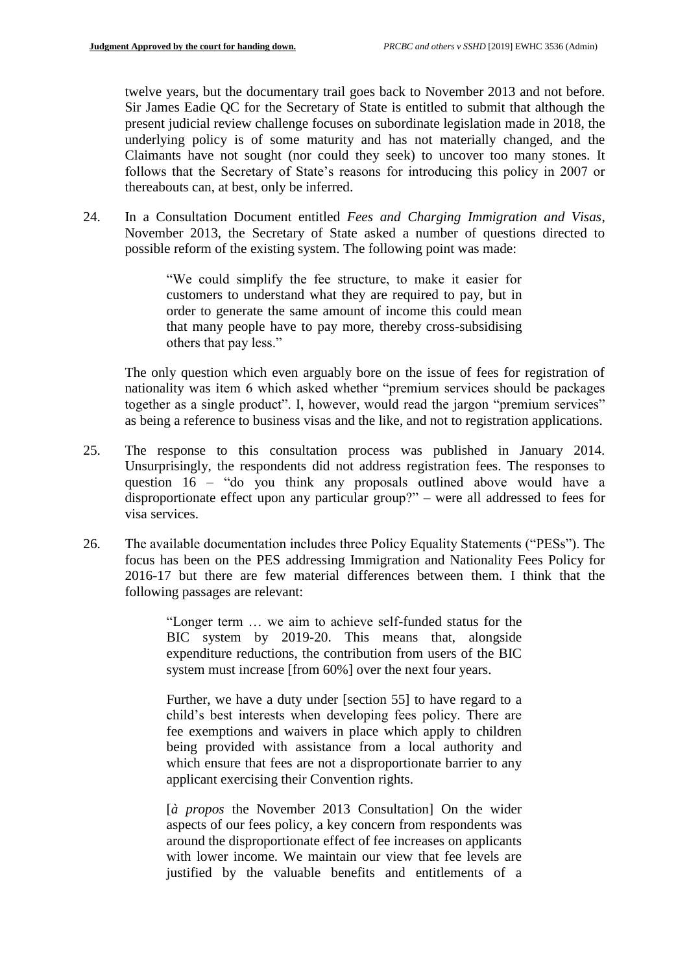twelve years, but the documentary trail goes back to November 2013 and not before. Sir James Eadie QC for the Secretary of State is entitled to submit that although the present judicial review challenge focuses on subordinate legislation made in 2018, the underlying policy is of some maturity and has not materially changed, and the Claimants have not sought (nor could they seek) to uncover too many stones. It follows that the Secretary of State's reasons for introducing this policy in 2007 or thereabouts can, at best, only be inferred.

24. In a Consultation Document entitled *Fees and Charging Immigration and Visas*, November 2013, the Secretary of State asked a number of questions directed to possible reform of the existing system. The following point was made:

> "We could simplify the fee structure, to make it easier for customers to understand what they are required to pay, but in order to generate the same amount of income this could mean that many people have to pay more, thereby cross-subsidising others that pay less."

The only question which even arguably bore on the issue of fees for registration of nationality was item 6 which asked whether "premium services should be packages together as a single product". I, however, would read the jargon "premium services" as being a reference to business visas and the like, and not to registration applications.

- 25. The response to this consultation process was published in January 2014. Unsurprisingly, the respondents did not address registration fees. The responses to question 16 – "do you think any proposals outlined above would have a disproportionate effect upon any particular group?" – were all addressed to fees for visa services.
- 26. The available documentation includes three Policy Equality Statements ("PESs"). The focus has been on the PES addressing Immigration and Nationality Fees Policy for 2016-17 but there are few material differences between them. I think that the following passages are relevant:

"Longer term … we aim to achieve self-funded status for the BIC system by 2019-20. This means that, alongside expenditure reductions, the contribution from users of the BIC system must increase [from 60%] over the next four years.

Further, we have a duty under [section 55] to have regard to a child's best interests when developing fees policy. There are fee exemptions and waivers in place which apply to children being provided with assistance from a local authority and which ensure that fees are not a disproportionate barrier to any applicant exercising their Convention rights.

[*à propos* the November 2013 Consultation] On the wider aspects of our fees policy, a key concern from respondents was around the disproportionate effect of fee increases on applicants with lower income. We maintain our view that fee levels are justified by the valuable benefits and entitlements of a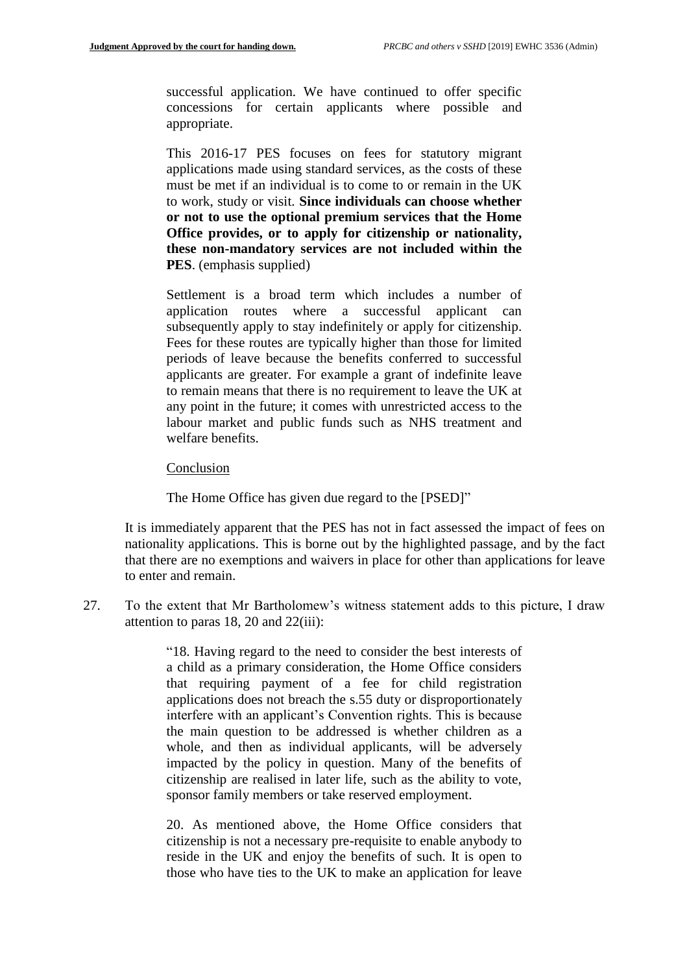successful application. We have continued to offer specific concessions for certain applicants where possible and appropriate.

This 2016-17 PES focuses on fees for statutory migrant applications made using standard services, as the costs of these must be met if an individual is to come to or remain in the UK to work, study or visit. **Since individuals can choose whether or not to use the optional premium services that the Home Office provides, or to apply for citizenship or nationality, these non-mandatory services are not included within the PES**. (emphasis supplied)

Settlement is a broad term which includes a number of application routes where a successful applicant can subsequently apply to stay indefinitely or apply for citizenship. Fees for these routes are typically higher than those for limited periods of leave because the benefits conferred to successful applicants are greater. For example a grant of indefinite leave to remain means that there is no requirement to leave the UK at any point in the future; it comes with unrestricted access to the labour market and public funds such as NHS treatment and welfare benefits.

#### Conclusion

The Home Office has given due regard to the [PSED]"

It is immediately apparent that the PES has not in fact assessed the impact of fees on nationality applications. This is borne out by the highlighted passage, and by the fact that there are no exemptions and waivers in place for other than applications for leave to enter and remain.

27. To the extent that Mr Bartholomew's witness statement adds to this picture, I draw attention to paras 18, 20 and 22(iii):

> "18. Having regard to the need to consider the best interests of a child as a primary consideration, the Home Office considers that requiring payment of a fee for child registration applications does not breach the s.55 duty or disproportionately interfere with an applicant's Convention rights. This is because the main question to be addressed is whether children as a whole, and then as individual applicants, will be adversely impacted by the policy in question. Many of the benefits of citizenship are realised in later life, such as the ability to vote, sponsor family members or take reserved employment.

> 20. As mentioned above, the Home Office considers that citizenship is not a necessary pre-requisite to enable anybody to reside in the UK and enjoy the benefits of such. It is open to those who have ties to the UK to make an application for leave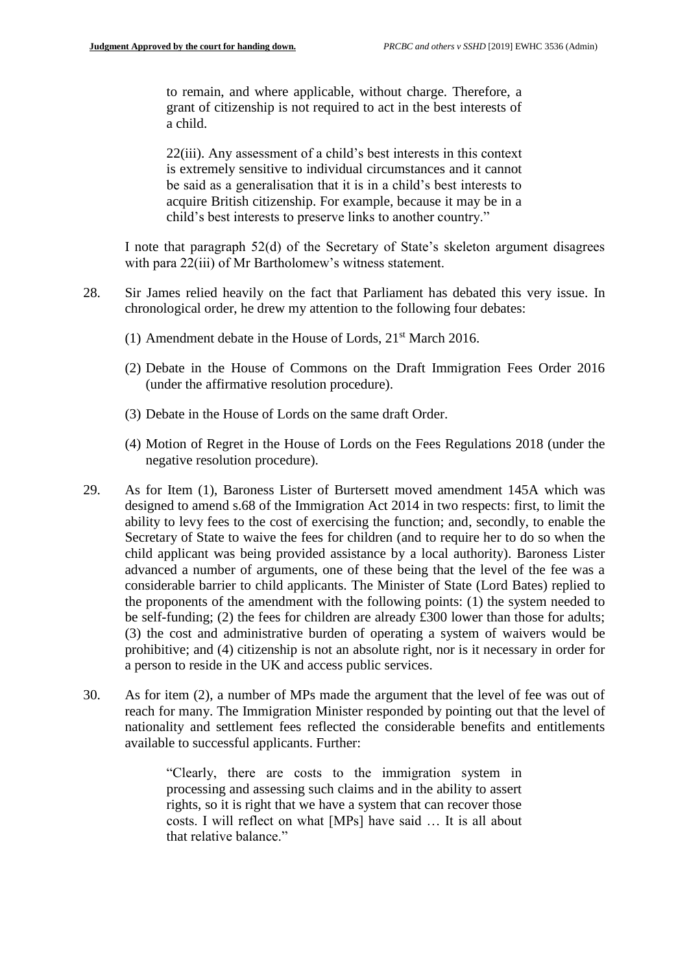to remain, and where applicable, without charge. Therefore, a grant of citizenship is not required to act in the best interests of a child.

22(iii). Any assessment of a child's best interests in this context is extremely sensitive to individual circumstances and it cannot be said as a generalisation that it is in a child's best interests to acquire British citizenship. For example, because it may be in a child's best interests to preserve links to another country."

I note that paragraph 52(d) of the Secretary of State's skeleton argument disagrees with para 22(iii) of Mr Bartholomew's witness statement.

- 28. Sir James relied heavily on the fact that Parliament has debated this very issue. In chronological order, he drew my attention to the following four debates:
	- (1) Amendment debate in the House of Lords, 21st March 2016.
	- (2) Debate in the House of Commons on the Draft Immigration Fees Order 2016 (under the affirmative resolution procedure).
	- (3) Debate in the House of Lords on the same draft Order.
	- (4) Motion of Regret in the House of Lords on the Fees Regulations 2018 (under the negative resolution procedure).
- 29. As for Item (1), Baroness Lister of Burtersett moved amendment 145A which was designed to amend s.68 of the Immigration Act 2014 in two respects: first, to limit the ability to levy fees to the cost of exercising the function; and, secondly, to enable the Secretary of State to waive the fees for children (and to require her to do so when the child applicant was being provided assistance by a local authority). Baroness Lister advanced a number of arguments, one of these being that the level of the fee was a considerable barrier to child applicants. The Minister of State (Lord Bates) replied to the proponents of the amendment with the following points: (1) the system needed to be self-funding; (2) the fees for children are already £300 lower than those for adults; (3) the cost and administrative burden of operating a system of waivers would be prohibitive; and (4) citizenship is not an absolute right, nor is it necessary in order for a person to reside in the UK and access public services.
- 30. As for item (2), a number of MPs made the argument that the level of fee was out of reach for many. The Immigration Minister responded by pointing out that the level of nationality and settlement fees reflected the considerable benefits and entitlements available to successful applicants. Further:

"Clearly, there are costs to the immigration system in processing and assessing such claims and in the ability to assert rights, so it is right that we have a system that can recover those costs. I will reflect on what [MPs] have said … It is all about that relative balance."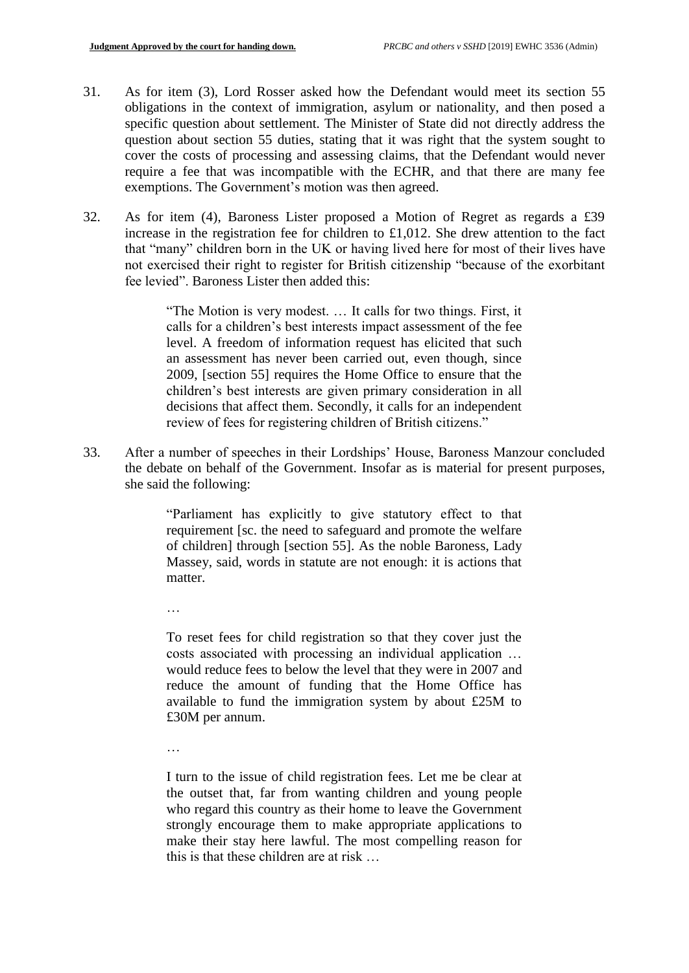- 31. As for item (3), Lord Rosser asked how the Defendant would meet its section 55 obligations in the context of immigration, asylum or nationality, and then posed a specific question about settlement. The Minister of State did not directly address the question about section 55 duties, stating that it was right that the system sought to cover the costs of processing and assessing claims, that the Defendant would never require a fee that was incompatible with the ECHR, and that there are many fee exemptions. The Government's motion was then agreed.
- 32. As for item (4), Baroness Lister proposed a Motion of Regret as regards a £39 increase in the registration fee for children to £1,012. She drew attention to the fact that "many" children born in the UK or having lived here for most of their lives have not exercised their right to register for British citizenship "because of the exorbitant fee levied". Baroness Lister then added this:

"The Motion is very modest. … It calls for two things. First, it calls for a children's best interests impact assessment of the fee level. A freedom of information request has elicited that such an assessment has never been carried out, even though, since 2009, [section 55] requires the Home Office to ensure that the children's best interests are given primary consideration in all decisions that affect them. Secondly, it calls for an independent review of fees for registering children of British citizens."

33. After a number of speeches in their Lordships' House, Baroness Manzour concluded the debate on behalf of the Government. Insofar as is material for present purposes, she said the following:

> "Parliament has explicitly to give statutory effect to that requirement [sc. the need to safeguard and promote the welfare of children] through [section 55]. As the noble Baroness, Lady Massey, said, words in statute are not enough: it is actions that matter.

…

To reset fees for child registration so that they cover just the costs associated with processing an individual application … would reduce fees to below the level that they were in 2007 and reduce the amount of funding that the Home Office has available to fund the immigration system by about £25M to £30M per annum.

…

I turn to the issue of child registration fees. Let me be clear at the outset that, far from wanting children and young people who regard this country as their home to leave the Government strongly encourage them to make appropriate applications to make their stay here lawful. The most compelling reason for this is that these children are at risk …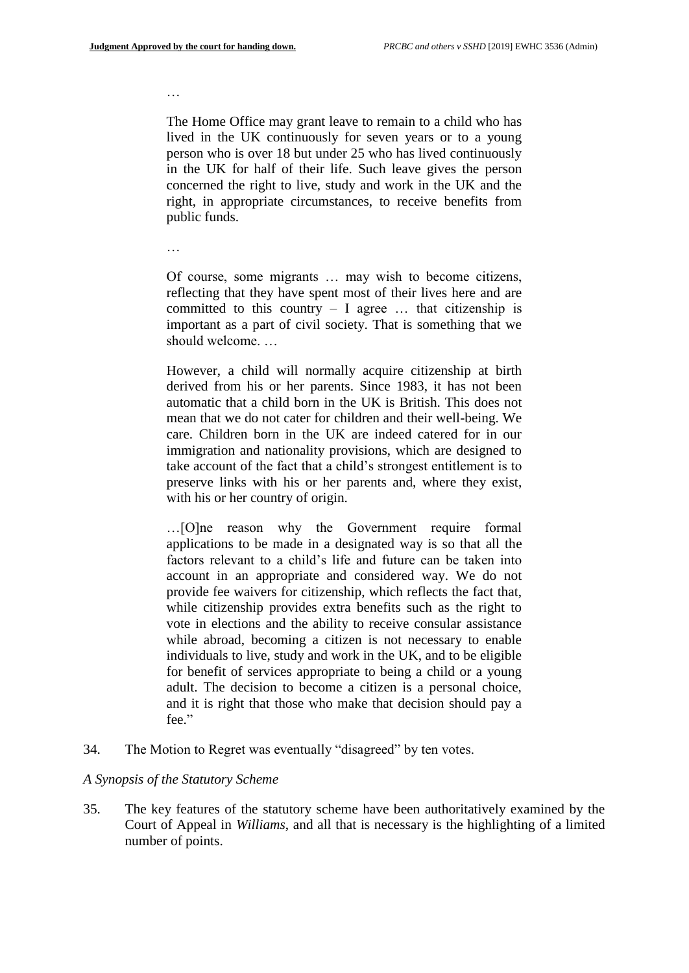…

The Home Office may grant leave to remain to a child who has lived in the UK continuously for seven years or to a young person who is over 18 but under 25 who has lived continuously in the UK for half of their life. Such leave gives the person concerned the right to live, study and work in the UK and the right, in appropriate circumstances, to receive benefits from public funds.

…

Of course, some migrants … may wish to become citizens, reflecting that they have spent most of their lives here and are committed to this country  $-$  I agree  $\ldots$  that citizenship is important as a part of civil society. That is something that we should welcome. …

However, a child will normally acquire citizenship at birth derived from his or her parents. Since 1983, it has not been automatic that a child born in the UK is British. This does not mean that we do not cater for children and their well-being. We care. Children born in the UK are indeed catered for in our immigration and nationality provisions, which are designed to take account of the fact that a child's strongest entitlement is to preserve links with his or her parents and, where they exist, with his or her country of origin.

…[O]ne reason why the Government require formal applications to be made in a designated way is so that all the factors relevant to a child's life and future can be taken into account in an appropriate and considered way. We do not provide fee waivers for citizenship, which reflects the fact that, while citizenship provides extra benefits such as the right to vote in elections and the ability to receive consular assistance while abroad, becoming a citizen is not necessary to enable individuals to live, study and work in the UK, and to be eligible for benefit of services appropriate to being a child or a young adult. The decision to become a citizen is a personal choice, and it is right that those who make that decision should pay a fee."

34. The Motion to Regret was eventually "disagreed" by ten votes.

#### *A Synopsis of the Statutory Scheme*

35. The key features of the statutory scheme have been authoritatively examined by the Court of Appeal in *Williams*, and all that is necessary is the highlighting of a limited number of points.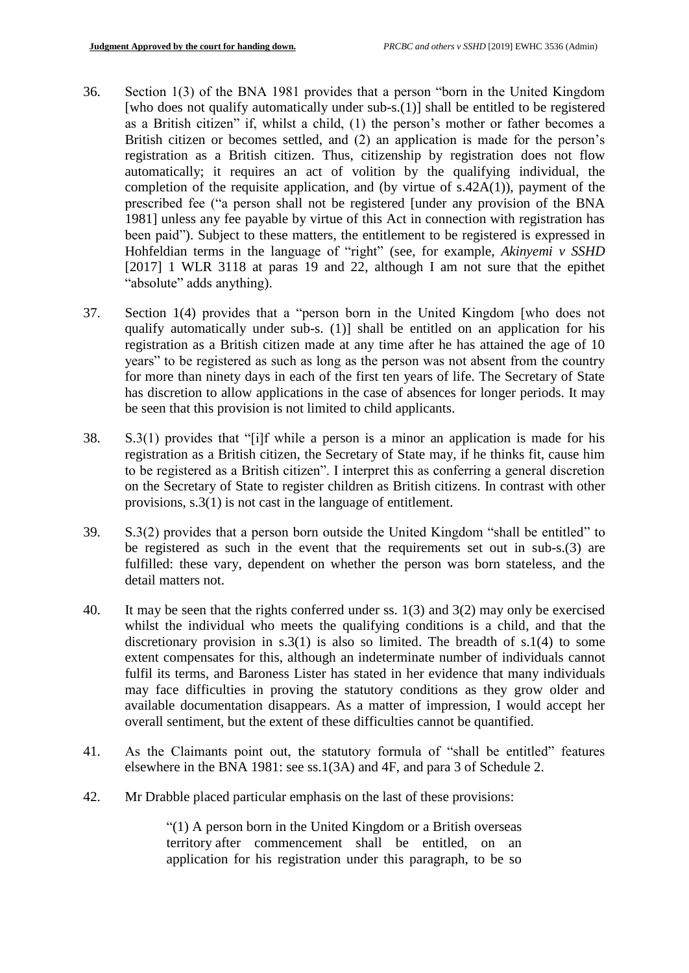- 36. Section 1(3) of the BNA 1981 provides that a person "born in the United Kingdom [who does not qualify automatically under sub-s.(1)] shall be entitled to be registered as a British citizen" if, whilst a child, (1) the person's mother or father becomes a British citizen or becomes settled, and (2) an application is made for the person's registration as a British citizen. Thus, citizenship by registration does not flow automatically; it requires an act of volition by the qualifying individual, the completion of the requisite application, and (by virtue of  $s.42A(1)$ ), payment of the prescribed fee ("a person shall not be registered [under any provision of the BNA 1981] unless any fee payable by virtue of this Act in connection with registration has been paid"). Subject to these matters, the entitlement to be registered is expressed in Hohfeldian terms in the language of "right" (see, for example, *Akinyemi v SSHD* [2017] 1 WLR 3118 at paras 19 and 22, although I am not sure that the epithet "absolute" adds anything).
- 37. Section 1(4) provides that a "person born in the United Kingdom [who does not qualify automatically under sub-s. (1)] shall be entitled on an application for his registration as a British citizen made at any time after he has attained the age of 10 years" to be registered as such as long as the person was not absent from the country for more than ninety days in each of the first ten years of life. The Secretary of State has discretion to allow applications in the case of absences for longer periods. It may be seen that this provision is not limited to child applicants.
- 38. S.3(1) provides that "[i]f while a person is a minor an application is made for his registration as a British citizen, the Secretary of State may, if he thinks fit, cause him to be registered as a British citizen". I interpret this as conferring a general discretion on the Secretary of State to register children as British citizens. In contrast with other provisions, s.3(1) is not cast in the language of entitlement.
- 39. S.3(2) provides that a person born outside the United Kingdom "shall be entitled" to be registered as such in the event that the requirements set out in sub-s.(3) are fulfilled: these vary, dependent on whether the person was born stateless, and the detail matters not.
- 40. It may be seen that the rights conferred under ss. 1(3) and 3(2) may only be exercised whilst the individual who meets the qualifying conditions is a child, and that the discretionary provision in s.3(1) is also so limited. The breadth of  $s.1(4)$  to some extent compensates for this, although an indeterminate number of individuals cannot fulfil its terms, and Baroness Lister has stated in her evidence that many individuals may face difficulties in proving the statutory conditions as they grow older and available documentation disappears. As a matter of impression, I would accept her overall sentiment, but the extent of these difficulties cannot be quantified.
- 41. As the Claimants point out, the statutory formula of "shall be entitled" features elsewhere in the BNA 1981: see ss.1(3A) and 4F, and para 3 of Schedule 2.
- 42. Mr Drabble placed particular emphasis on the last of these provisions:

"(1) A person born in the United Kingdom or a British overseas territory after commencement shall be entitled, on an application for his registration under this paragraph, to be so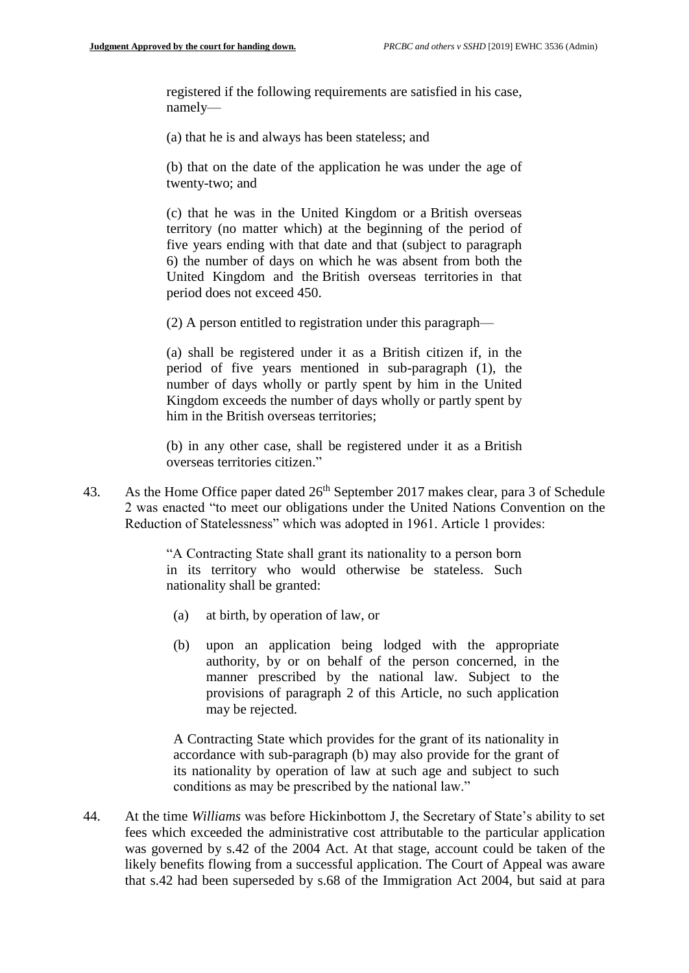registered if the following requirements are satisfied in his case, namely—

(a) that he is and always has been stateless; and

(b) that on the date of the application he was under the age of twenty-two; and

(c) that he was in the United Kingdom or a British overseas territory (no matter which) at the beginning of the period of five years ending with that date and that (subject to paragraph 6) the number of days on which he was absent from both the United Kingdom and the British overseas territories in that period does not exceed 450.

(2) A person entitled to registration under this paragraph—

(a) shall be registered under it as a British citizen if, in the period of five years mentioned in sub-paragraph (1), the number of days wholly or partly spent by him in the United Kingdom exceeds the number of days wholly or partly spent by him in the British overseas territories;

(b) in any other case, shall be registered under it as a British overseas territories citizen."

43. As the Home Office paper dated  $26<sup>th</sup>$  September 2017 makes clear, para 3 of Schedule 2 was enacted "to meet our obligations under the United Nations Convention on the Reduction of Statelessness" which was adopted in 1961. Article 1 provides:

> "A Contracting State shall grant its nationality to a person born in its territory who would otherwise be stateless. Such nationality shall be granted:

- (a) at birth, by operation of law, or
- (b) upon an application being lodged with the appropriate authority, by or on behalf of the person concerned, in the manner prescribed by the national law. Subject to the provisions of paragraph 2 of this Article, no such application may be rejected.

A Contracting State which provides for the grant of its nationality in accordance with sub-paragraph (b) may also provide for the grant of its nationality by operation of law at such age and subject to such conditions as may be prescribed by the national law."

44. At the time *Williams* was before Hickinbottom J, the Secretary of State's ability to set fees which exceeded the administrative cost attributable to the particular application was governed by s.42 of the 2004 Act. At that stage, account could be taken of the likely benefits flowing from a successful application. The Court of Appeal was aware that s.42 had been superseded by s.68 of the Immigration Act 2004, but said at para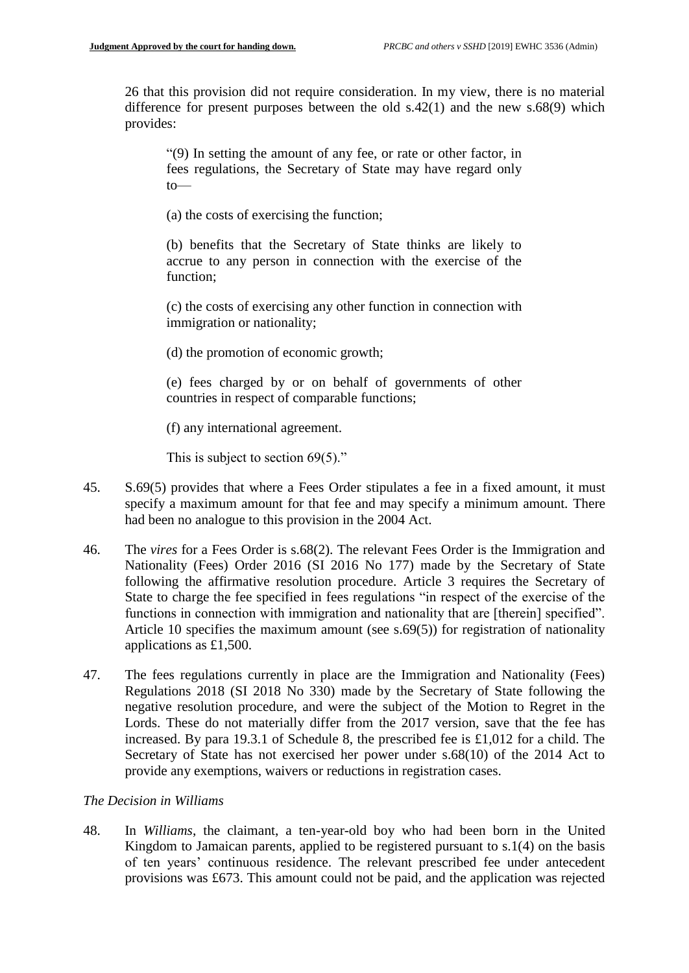26 that this provision did not require consideration. In my view, there is no material difference for present purposes between the old  $s.42(1)$  and the new  $s.68(9)$  which provides:

"(9) In setting the amount of any fee, or rate or other factor, in fees regulations, the Secretary of State may have regard only  $to$ 

(a) the costs of exercising the function;

(b) benefits that the Secretary of State thinks are likely to accrue to any person in connection with the exercise of the function;

(c) the costs of exercising any other function in connection with immigration or nationality;

(d) the promotion of economic growth;

(e) fees charged by or on behalf of governments of other countries in respect of comparable functions;

(f) any international agreement.

This is subject to section 69(5)."

- 45. S.69(5) provides that where a Fees Order stipulates a fee in a fixed amount, it must specify a maximum amount for that fee and may specify a minimum amount. There had been no analogue to this provision in the 2004 Act.
- 46. The *vires* for a Fees Order is s.68(2). The relevant Fees Order is the Immigration and Nationality (Fees) Order 2016 (SI 2016 No 177) made by the Secretary of State following the affirmative resolution procedure. Article 3 requires the Secretary of State to charge the fee specified in fees regulations "in respect of the exercise of the functions in connection with immigration and nationality that are [therein] specified". Article 10 specifies the maximum amount (see s.69(5)) for registration of nationality applications as £1,500.
- 47. The fees regulations currently in place are the Immigration and Nationality (Fees) Regulations 2018 (SI 2018 No 330) made by the Secretary of State following the negative resolution procedure, and were the subject of the Motion to Regret in the Lords. These do not materially differ from the 2017 version, save that the fee has increased. By para 19.3.1 of Schedule 8, the prescribed fee is £1,012 for a child. The Secretary of State has not exercised her power under s.68(10) of the 2014 Act to provide any exemptions, waivers or reductions in registration cases.

### *The Decision in Williams*

48. In *Williams*, the claimant, a ten-year-old boy who had been born in the United Kingdom to Jamaican parents, applied to be registered pursuant to s.1(4) on the basis of ten years' continuous residence. The relevant prescribed fee under antecedent provisions was £673. This amount could not be paid, and the application was rejected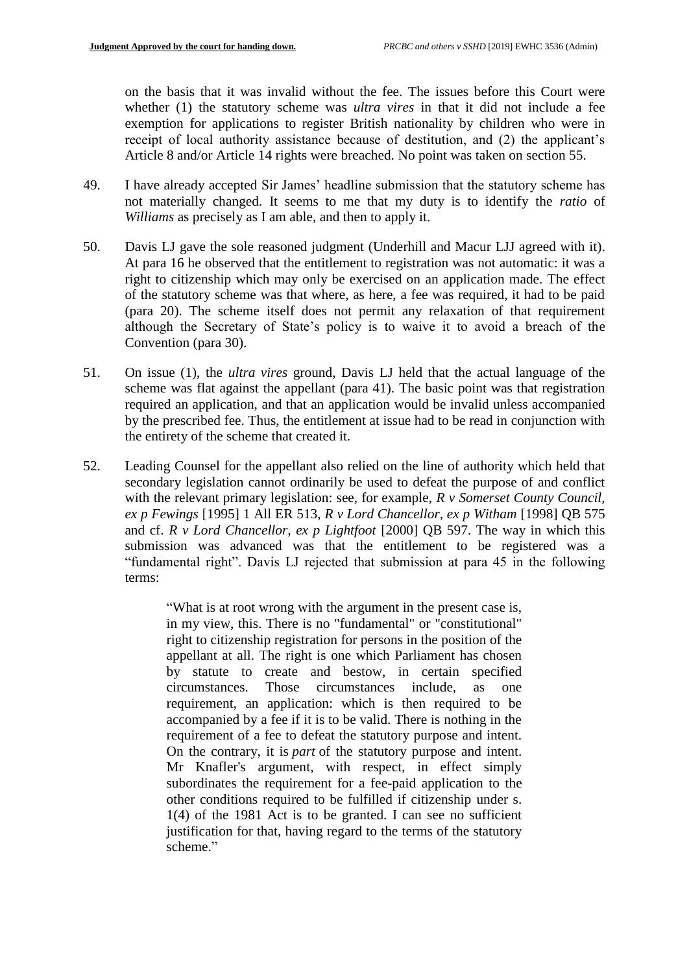on the basis that it was invalid without the fee. The issues before this Court were whether (1) the statutory scheme was *ultra vires* in that it did not include a fee exemption for applications to register British nationality by children who were in receipt of local authority assistance because of destitution, and (2) the applicant's Article 8 and/or Article 14 rights were breached. No point was taken on section 55.

- 49. I have already accepted Sir James' headline submission that the statutory scheme has not materially changed. It seems to me that my duty is to identify the *ratio* of *Williams* as precisely as I am able, and then to apply it.
- 50. Davis LJ gave the sole reasoned judgment (Underhill and Macur LJJ agreed with it). At para 16 he observed that the entitlement to registration was not automatic: it was a right to citizenship which may only be exercised on an application made. The effect of the statutory scheme was that where, as here, a fee was required, it had to be paid (para 20). The scheme itself does not permit any relaxation of that requirement although the Secretary of State's policy is to waive it to avoid a breach of the Convention (para 30).
- 51. On issue (1), the *ultra vires* ground, Davis LJ held that the actual language of the scheme was flat against the appellant (para 41). The basic point was that registration required an application, and that an application would be invalid unless accompanied by the prescribed fee. Thus, the entitlement at issue had to be read in conjunction with the entirety of the scheme that created it.
- 52. Leading Counsel for the appellant also relied on the line of authority which held that secondary legislation cannot ordinarily be used to defeat the purpose of and conflict with the relevant primary legislation: see, for example, *R v Somerset County Council, ex p Fewings* [1995] 1 All ER 513, *R v Lord Chancellor, ex p Witham* [1998] QB 575 and cf. *R v Lord Chancellor, ex p Lightfoot* [2000] QB 597. The way in which this submission was advanced was that the entitlement to be registered was a "fundamental right". Davis LJ rejected that submission at para 45 in the following terms:

"What is at root wrong with the argument in the present case is, in my view, this. There is no "fundamental" or "constitutional" right to citizenship registration for persons in the position of the appellant at all. The right is one which Parliament has chosen by statute to create and bestow, in certain specified circumstances. Those circumstances include, as one requirement, an application: which is then required to be accompanied by a fee if it is to be valid. There is nothing in the requirement of a fee to defeat the statutory purpose and intent. On the contrary, it is *part* of the statutory purpose and intent. Mr Knafler's argument, with respect, in effect simply subordinates the requirement for a fee-paid application to the other conditions required to be fulfilled if citizenship under s. 1(4) of the 1981 Act is to be granted. I can see no sufficient justification for that, having regard to the terms of the statutory scheme."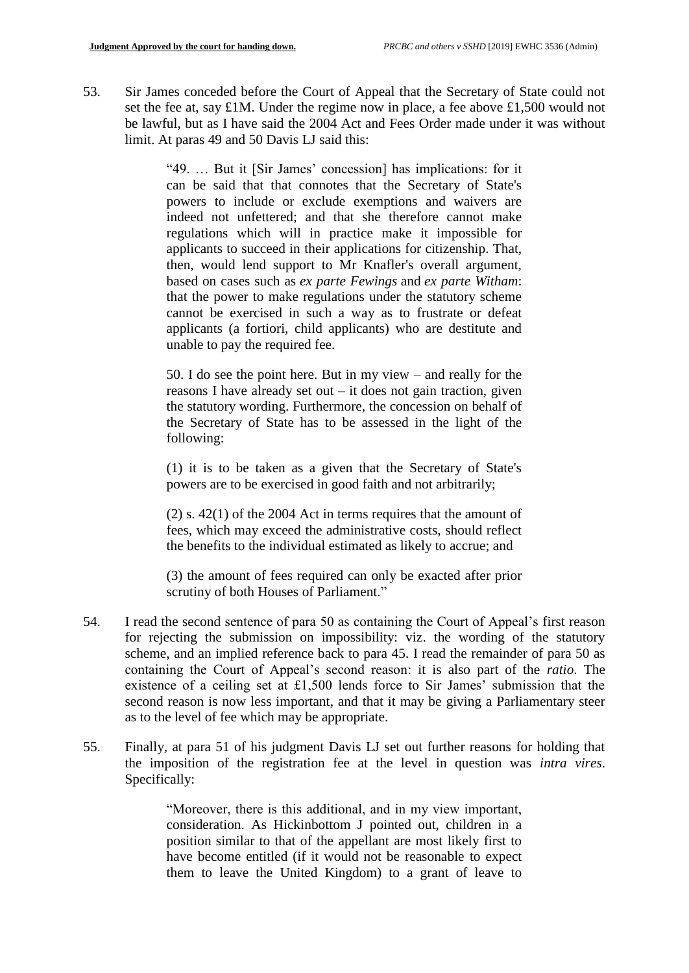53. Sir James conceded before the Court of Appeal that the Secretary of State could not set the fee at, say £1M. Under the regime now in place, a fee above £1,500 would not be lawful, but as I have said the 2004 Act and Fees Order made under it was without limit. At paras 49 and 50 Davis LJ said this:

> "49. … But it [Sir James' concession] has implications: for it can be said that that connotes that the Secretary of State's powers to include or exclude exemptions and waivers are indeed not unfettered; and that she therefore cannot make regulations which will in practice make it impossible for applicants to succeed in their applications for citizenship. That, then, would lend support to Mr Knafler's overall argument, based on cases such as *ex parte Fewings* and *ex parte Witham*: that the power to make regulations under the statutory scheme cannot be exercised in such a way as to frustrate or defeat applicants (a fortiori, child applicants) who are destitute and unable to pay the required fee.

> 50. I do see the point here. But in my view – and really for the reasons I have already set out  $-$  it does not gain traction, given the statutory wording. Furthermore, the concession on behalf of the Secretary of State has to be assessed in the light of the following:

> (1) it is to be taken as a given that the Secretary of State's powers are to be exercised in good faith and not arbitrarily;

> (2) s. 42(1) of the 2004 Act in terms requires that the amount of fees, which may exceed the administrative costs, should reflect the benefits to the individual estimated as likely to accrue; and

> (3) the amount of fees required can only be exacted after prior scrutiny of both Houses of Parliament."

- 54. I read the second sentence of para 50 as containing the Court of Appeal's first reason for rejecting the submission on impossibility: viz. the wording of the statutory scheme, and an implied reference back to para 45. I read the remainder of para 50 as containing the Court of Appeal's second reason: it is also part of the *ratio*. The existence of a ceiling set at £1,500 lends force to Sir James' submission that the second reason is now less important, and that it may be giving a Parliamentary steer as to the level of fee which may be appropriate.
- 55. Finally, at para 51 of his judgment Davis LJ set out further reasons for holding that the imposition of the registration fee at the level in question was *intra vires*. Specifically:

"Moreover, there is this additional, and in my view important, consideration. As Hickinbottom J pointed out, children in a position similar to that of the appellant are most likely first to have become entitled (if it would not be reasonable to expect them to leave the United Kingdom) to a grant of leave to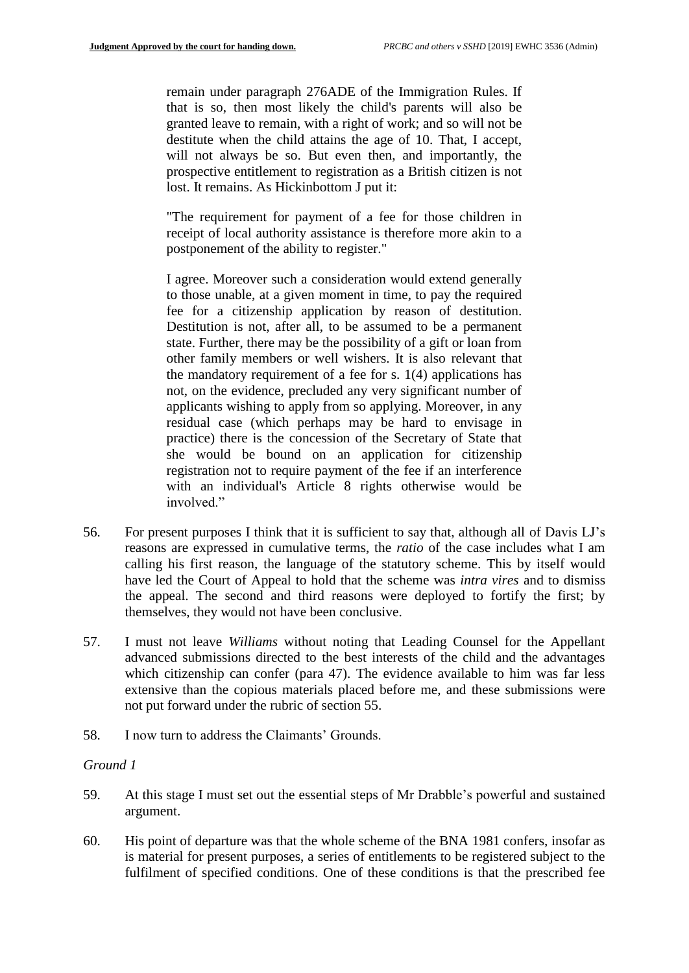remain under paragraph 276ADE of the Immigration Rules. If that is so, then most likely the child's parents will also be granted leave to remain, with a right of work; and so will not be destitute when the child attains the age of 10. That, I accept, will not always be so. But even then, and importantly, the prospective entitlement to registration as a British citizen is not lost. It remains. As Hickinbottom J put it:

"The requirement for payment of a fee for those children in receipt of local authority assistance is therefore more akin to a postponement of the ability to register."

I agree. Moreover such a consideration would extend generally to those unable, at a given moment in time, to pay the required fee for a citizenship application by reason of destitution. Destitution is not, after all, to be assumed to be a permanent state. Further, there may be the possibility of a gift or loan from other family members or well wishers. It is also relevant that the mandatory requirement of a fee for s. 1(4) applications has not, on the evidence, precluded any very significant number of applicants wishing to apply from so applying. Moreover, in any residual case (which perhaps may be hard to envisage in practice) there is the concession of the Secretary of State that she would be bound on an application for citizenship registration not to require payment of the fee if an interference with an individual's Article 8 rights otherwise would be involved."

- 56. For present purposes I think that it is sufficient to say that, although all of Davis LJ's reasons are expressed in cumulative terms, the *ratio* of the case includes what I am calling his first reason, the language of the statutory scheme. This by itself would have led the Court of Appeal to hold that the scheme was *intra vires* and to dismiss the appeal. The second and third reasons were deployed to fortify the first; by themselves, they would not have been conclusive.
- 57. I must not leave *Williams* without noting that Leading Counsel for the Appellant advanced submissions directed to the best interests of the child and the advantages which citizenship can confer (para 47). The evidence available to him was far less extensive than the copious materials placed before me, and these submissions were not put forward under the rubric of section 55.
- 58. I now turn to address the Claimants' Grounds.

### *Ground 1*

- 59. At this stage I must set out the essential steps of Mr Drabble's powerful and sustained argument.
- 60. His point of departure was that the whole scheme of the BNA 1981 confers, insofar as is material for present purposes, a series of entitlements to be registered subject to the fulfilment of specified conditions. One of these conditions is that the prescribed fee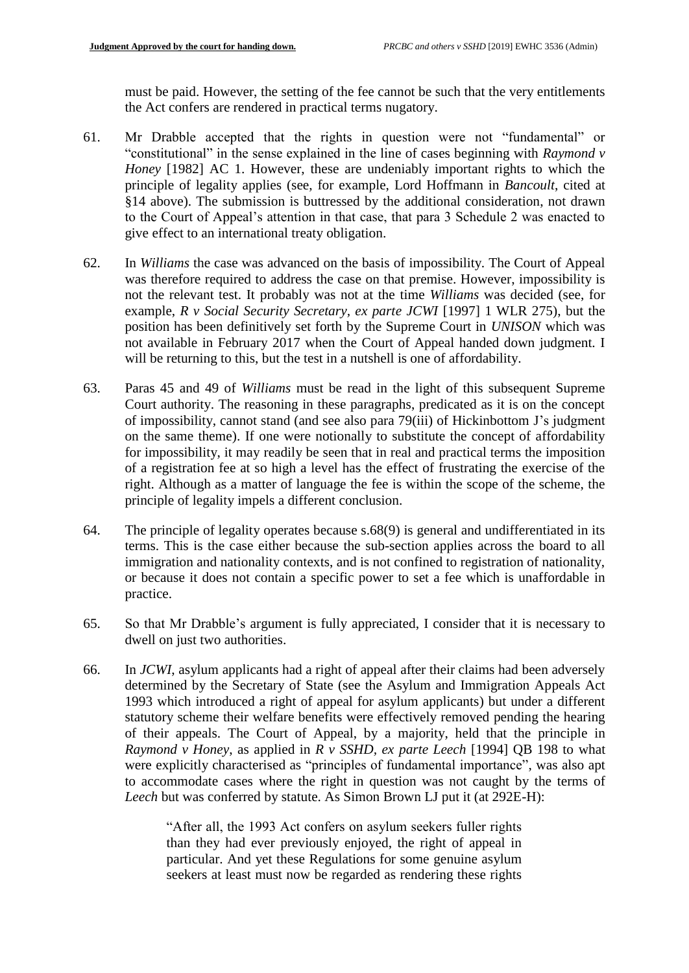must be paid. However, the setting of the fee cannot be such that the very entitlements the Act confers are rendered in practical terms nugatory.

- 61. Mr Drabble accepted that the rights in question were not "fundamental" or "constitutional" in the sense explained in the line of cases beginning with *Raymond v Honey* [1982] AC 1. However, these are undeniably important rights to which the principle of legality applies (see, for example, Lord Hoffmann in *Bancoult*, cited at §14 above). The submission is buttressed by the additional consideration, not drawn to the Court of Appeal's attention in that case, that para 3 Schedule 2 was enacted to give effect to an international treaty obligation.
- 62. In *Williams* the case was advanced on the basis of impossibility. The Court of Appeal was therefore required to address the case on that premise. However, impossibility is not the relevant test. It probably was not at the time *Williams* was decided (see, for example, *R v Social Security Secretary, ex parte JCWI* [1997] 1 WLR 275), but the position has been definitively set forth by the Supreme Court in *UNISON* which was not available in February 2017 when the Court of Appeal handed down judgment. I will be returning to this, but the test in a nutshell is one of affordability.
- 63. Paras 45 and 49 of *Williams* must be read in the light of this subsequent Supreme Court authority. The reasoning in these paragraphs, predicated as it is on the concept of impossibility, cannot stand (and see also para 79(iii) of Hickinbottom J's judgment on the same theme). If one were notionally to substitute the concept of affordability for impossibility, it may readily be seen that in real and practical terms the imposition of a registration fee at so high a level has the effect of frustrating the exercise of the right. Although as a matter of language the fee is within the scope of the scheme, the principle of legality impels a different conclusion.
- 64. The principle of legality operates because s.68(9) is general and undifferentiated in its terms. This is the case either because the sub-section applies across the board to all immigration and nationality contexts, and is not confined to registration of nationality, or because it does not contain a specific power to set a fee which is unaffordable in practice.
- 65. So that Mr Drabble's argument is fully appreciated, I consider that it is necessary to dwell on just two authorities.
- 66. In *JCWI*, asylum applicants had a right of appeal after their claims had been adversely determined by the Secretary of State (see the Asylum and Immigration Appeals Act 1993 which introduced a right of appeal for asylum applicants) but under a different statutory scheme their welfare benefits were effectively removed pending the hearing of their appeals. The Court of Appeal, by a majority, held that the principle in *Raymond v Honey*, as applied in *R v SSHD, ex parte Leech* [1994] QB 198 to what were explicitly characterised as "principles of fundamental importance", was also apt to accommodate cases where the right in question was not caught by the terms of *Leech* but was conferred by statute. As Simon Brown LJ put it (at 292E-H):

"After all, the 1993 Act confers on asylum seekers fuller rights than they had ever previously enjoyed, the right of appeal in particular. And yet these Regulations for some genuine asylum seekers at least must now be regarded as rendering these rights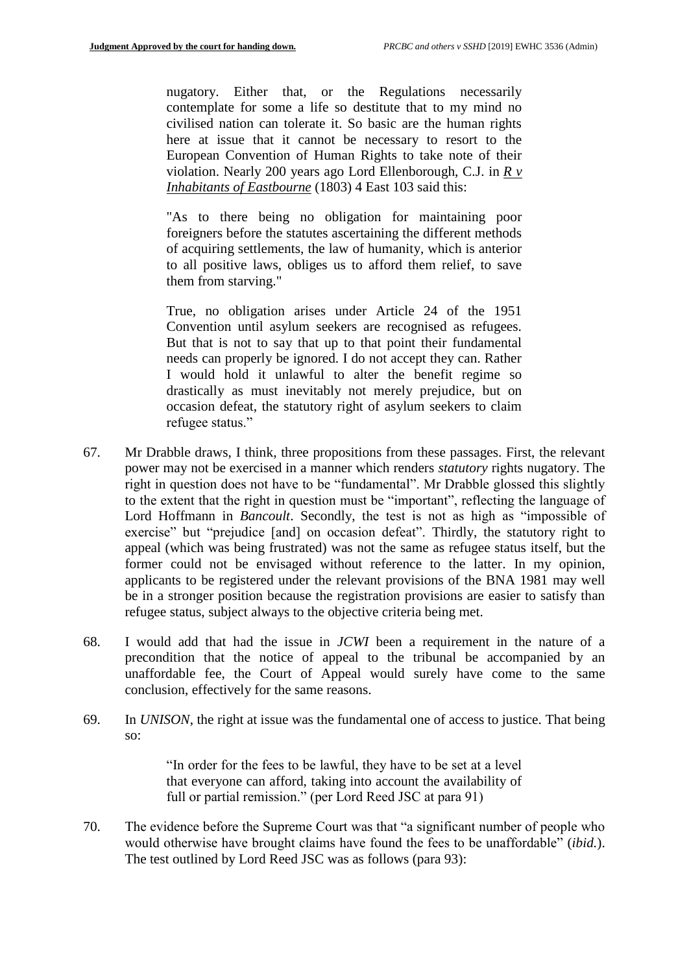nugatory. Either that, or the Regulations necessarily contemplate for some a life so destitute that to my mind no civilised nation can tolerate it. So basic are the human rights here at issue that it cannot be necessary to resort to the European Convention of Human Rights to take note of their violation. Nearly 200 years ago Lord Ellenborough, C.J. in *R v Inhabitants of Eastbourne* (1803) 4 East 103 said this:

"As to there being no obligation for maintaining poor foreigners before the statutes ascertaining the different methods of acquiring settlements, the law of humanity, which is anterior to all positive laws, obliges us to afford them relief, to save them from starving."

True, no obligation arises under Article 24 of the 1951 Convention until asylum seekers are recognised as refugees. But that is not to say that up to that point their fundamental needs can properly be ignored. I do not accept they can. Rather I would hold it unlawful to alter the benefit regime so drastically as must inevitably not merely prejudice, but on occasion defeat, the statutory right of asylum seekers to claim refugee status."

- 67. Mr Drabble draws, I think, three propositions from these passages. First, the relevant power may not be exercised in a manner which renders *statutory* rights nugatory. The right in question does not have to be "fundamental". Mr Drabble glossed this slightly to the extent that the right in question must be "important", reflecting the language of Lord Hoffmann in *Bancoult*. Secondly, the test is not as high as "impossible of exercise" but "prejudice [and] on occasion defeat". Thirdly, the statutory right to appeal (which was being frustrated) was not the same as refugee status itself, but the former could not be envisaged without reference to the latter. In my opinion, applicants to be registered under the relevant provisions of the BNA 1981 may well be in a stronger position because the registration provisions are easier to satisfy than refugee status, subject always to the objective criteria being met.
- 68. I would add that had the issue in *JCWI* been a requirement in the nature of a precondition that the notice of appeal to the tribunal be accompanied by an unaffordable fee, the Court of Appeal would surely have come to the same conclusion, effectively for the same reasons.
- 69. In *UNISON*, the right at issue was the fundamental one of access to justice. That being so:

"In order for the fees to be lawful, they have to be set at a level that everyone can afford, taking into account the availability of full or partial remission." (per Lord Reed JSC at para 91)

70. The evidence before the Supreme Court was that "a significant number of people who would otherwise have brought claims have found the fees to be unaffordable" (*ibid.*). The test outlined by Lord Reed JSC was as follows (para 93):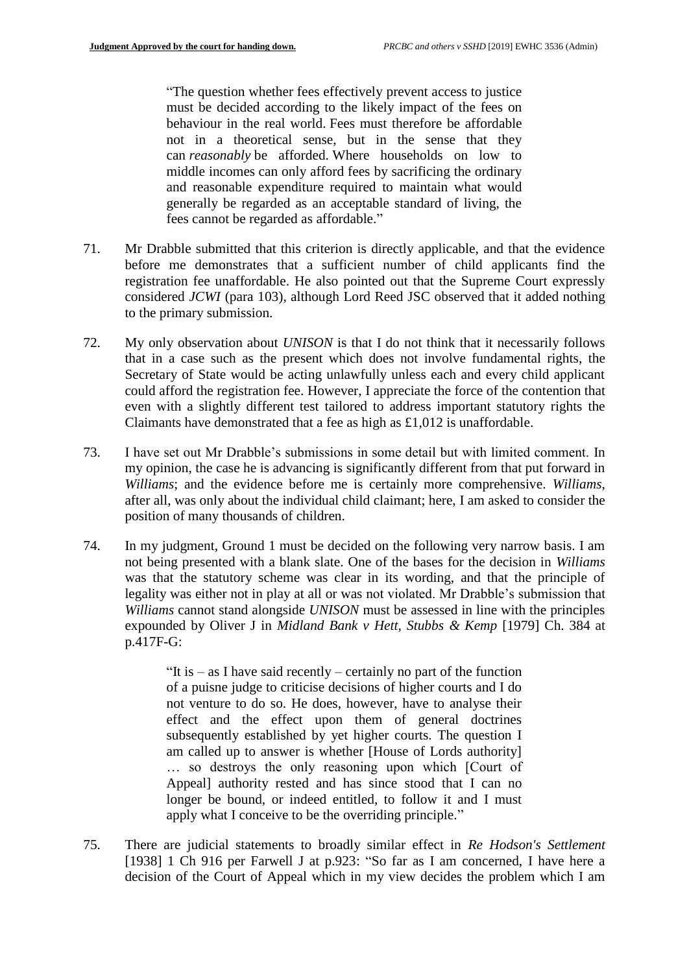"The question whether fees effectively prevent access to justice must be decided according to the likely impact of the fees on behaviour in the real world. Fees must therefore be affordable not in a theoretical sense, but in the sense that they can *reasonably* be afforded. Where households on low to middle incomes can only afford fees by sacrificing the ordinary and reasonable expenditure required to maintain what would generally be regarded as an acceptable standard of living, the fees cannot be regarded as affordable."

- 71. Mr Drabble submitted that this criterion is directly applicable, and that the evidence before me demonstrates that a sufficient number of child applicants find the registration fee unaffordable. He also pointed out that the Supreme Court expressly considered *JCWI* (para 103), although Lord Reed JSC observed that it added nothing to the primary submission.
- 72. My only observation about *UNISON* is that I do not think that it necessarily follows that in a case such as the present which does not involve fundamental rights, the Secretary of State would be acting unlawfully unless each and every child applicant could afford the registration fee. However, I appreciate the force of the contention that even with a slightly different test tailored to address important statutory rights the Claimants have demonstrated that a fee as high as £1,012 is unaffordable.
- 73. I have set out Mr Drabble's submissions in some detail but with limited comment. In my opinion, the case he is advancing is significantly different from that put forward in *Williams*; and the evidence before me is certainly more comprehensive. *Williams*, after all, was only about the individual child claimant; here, I am asked to consider the position of many thousands of children.
- 74. In my judgment, Ground 1 must be decided on the following very narrow basis. I am not being presented with a blank slate. One of the bases for the decision in *Williams* was that the statutory scheme was clear in its wording, and that the principle of legality was either not in play at all or was not violated. Mr Drabble's submission that *Williams* cannot stand alongside *UNISON* must be assessed in line with the principles expounded by Oliver J in *Midland Bank v Hett, Stubbs & Kemp* [1979] Ch. 384 at p.417F-G:

"It is  $-$  as I have said recently  $-$  certainly no part of the function of a puisne judge to criticise decisions of higher courts and I do not venture to do so. He does, however, have to analyse their effect and the effect upon them of general doctrines subsequently established by yet higher courts. The question I am called up to answer is whether [House of Lords authority] … so destroys the only reasoning upon which [Court of Appeal] authority rested and has since stood that I can no longer be bound, or indeed entitled, to follow it and I must apply what I conceive to be the overriding principle."

75. There are judicial statements to broadly similar effect in *Re Hodson's Settlement* [1938] 1 Ch 916 per Farwell J at p.923: "So far as I am concerned, I have here a decision of the Court of Appeal which in my view decides the problem which I am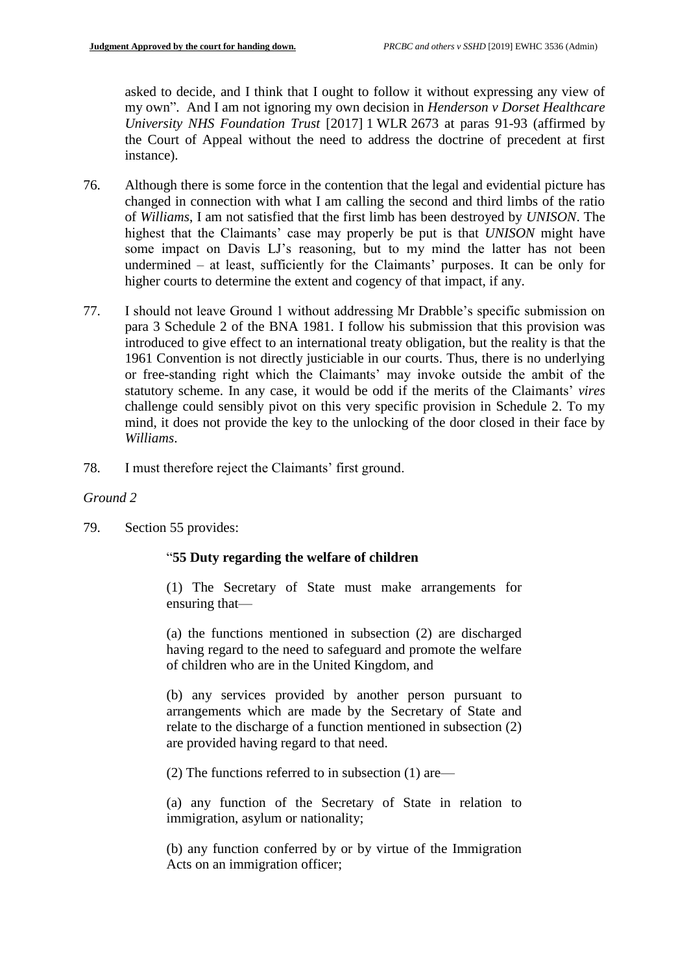asked to decide, and I think that I ought to follow it without expressing any view of my own". And I am not ignoring my own decision in *Henderson v Dorset Healthcare University NHS Foundation Trust* [2017] 1 WLR 2673 at paras 91-93 (affirmed by the Court of Appeal without the need to address the doctrine of precedent at first instance).

- 76. Although there is some force in the contention that the legal and evidential picture has changed in connection with what I am calling the second and third limbs of the ratio of *Williams*, I am not satisfied that the first limb has been destroyed by *UNISON*. The highest that the Claimants' case may properly be put is that *UNISON* might have some impact on Davis LJ's reasoning, but to my mind the latter has not been undermined – at least, sufficiently for the Claimants' purposes. It can be only for higher courts to determine the extent and cogency of that impact, if any.
- 77. I should not leave Ground 1 without addressing Mr Drabble's specific submission on para 3 Schedule 2 of the BNA 1981. I follow his submission that this provision was introduced to give effect to an international treaty obligation, but the reality is that the 1961 Convention is not directly justiciable in our courts. Thus, there is no underlying or free-standing right which the Claimants' may invoke outside the ambit of the statutory scheme. In any case, it would be odd if the merits of the Claimants' *vires* challenge could sensibly pivot on this very specific provision in Schedule 2. To my mind, it does not provide the key to the unlocking of the door closed in their face by *Williams*.
- 78. I must therefore reject the Claimants' first ground.

# *Ground 2*

79. Section 55 provides:

### "**55 Duty regarding the welfare of children**

(1) The Secretary of State must make arrangements for ensuring that—

(a) the functions mentioned in subsection (2) are discharged having regard to the need to safeguard and promote the welfare of children who are in the United Kingdom, and

(b) any services provided by another person pursuant to arrangements which are made by the Secretary of State and relate to the discharge of a function mentioned in subsection (2) are provided having regard to that need.

(2) The functions referred to in subsection (1) are—

(a) any function of the Secretary of State in relation to immigration, asylum or nationality;

(b) any function conferred by or by virtue of the Immigration Acts on an immigration officer;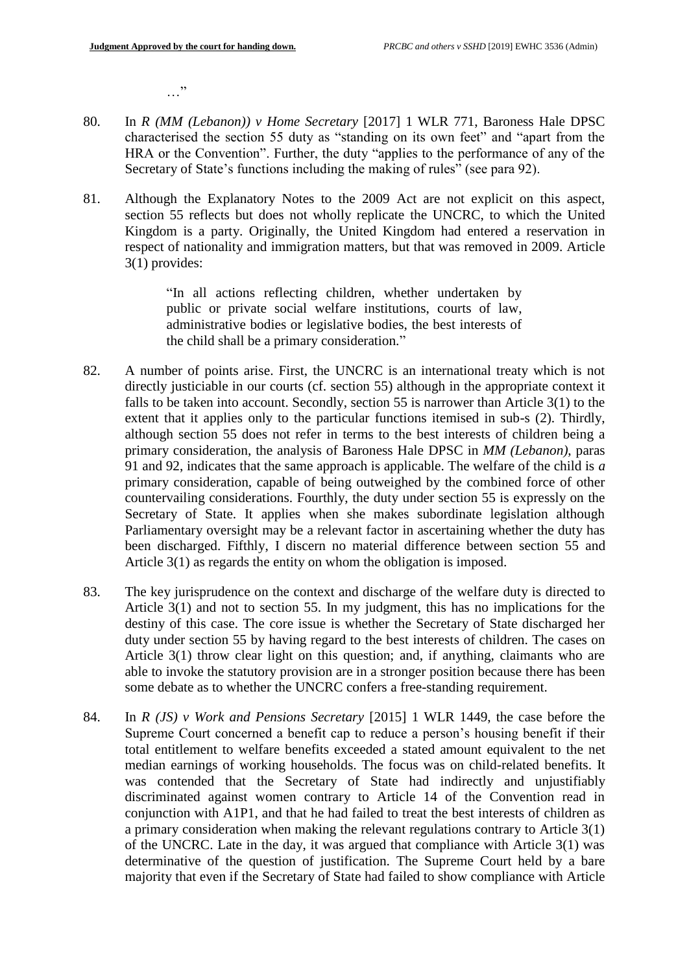…"

- 80. In *R (MM (Lebanon)) v Home Secretary* [2017] 1 WLR 771, Baroness Hale DPSC characterised the section 55 duty as "standing on its own feet" and "apart from the HRA or the Convention". Further, the duty "applies to the performance of any of the Secretary of State's functions including the making of rules" (see para 92).
- 81. Although the Explanatory Notes to the 2009 Act are not explicit on this aspect, section 55 reflects but does not wholly replicate the UNCRC, to which the United Kingdom is a party. Originally, the United Kingdom had entered a reservation in respect of nationality and immigration matters, but that was removed in 2009. Article 3(1) provides:

"In all actions reflecting children, whether undertaken by public or private social welfare institutions, courts of law, administrative bodies or legislative bodies, the best interests of the child shall be a primary consideration."

- 82. A number of points arise. First, the UNCRC is an international treaty which is not directly justiciable in our courts (cf. section 55) although in the appropriate context it falls to be taken into account. Secondly, section 55 is narrower than Article 3(1) to the extent that it applies only to the particular functions itemised in sub-s (2). Thirdly, although section 55 does not refer in terms to the best interests of children being a primary consideration, the analysis of Baroness Hale DPSC in *MM (Lebanon)*, paras 91 and 92, indicates that the same approach is applicable. The welfare of the child is *a* primary consideration, capable of being outweighed by the combined force of other countervailing considerations. Fourthly, the duty under section 55 is expressly on the Secretary of State. It applies when she makes subordinate legislation although Parliamentary oversight may be a relevant factor in ascertaining whether the duty has been discharged. Fifthly, I discern no material difference between section 55 and Article 3(1) as regards the entity on whom the obligation is imposed.
- 83. The key jurisprudence on the context and discharge of the welfare duty is directed to Article 3(1) and not to section 55. In my judgment, this has no implications for the destiny of this case. The core issue is whether the Secretary of State discharged her duty under section 55 by having regard to the best interests of children. The cases on Article 3(1) throw clear light on this question; and, if anything, claimants who are able to invoke the statutory provision are in a stronger position because there has been some debate as to whether the UNCRC confers a free-standing requirement.
- 84. In *R (JS) v Work and Pensions Secretary* [2015] 1 WLR 1449, the case before the Supreme Court concerned a benefit cap to reduce a person's housing benefit if their total entitlement to welfare benefits exceeded a stated amount equivalent to the net median earnings of working households. The focus was on child-related benefits. It was contended that the Secretary of State had indirectly and unjustifiably discriminated against women contrary to Article 14 of the Convention read in conjunction with A1P1, and that he had failed to treat the best interests of children as a primary consideration when making the relevant regulations contrary to Article 3(1) of the UNCRC. Late in the day, it was argued that compliance with Article 3(1) was determinative of the question of justification. The Supreme Court held by a bare majority that even if the Secretary of State had failed to show compliance with Article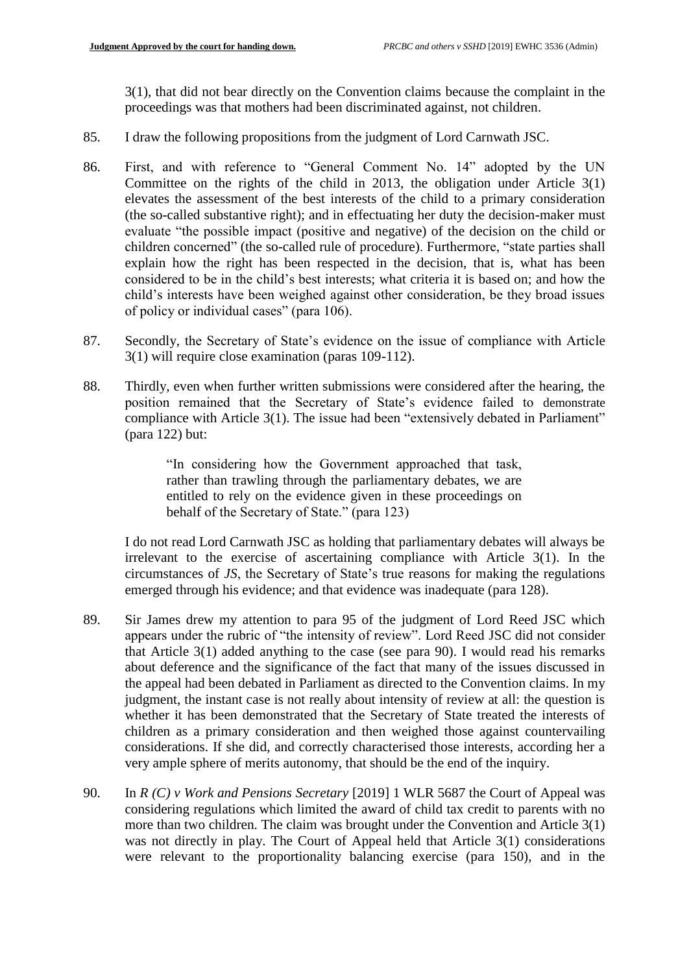3(1), that did not bear directly on the Convention claims because the complaint in the proceedings was that mothers had been discriminated against, not children.

- 85. I draw the following propositions from the judgment of Lord Carnwath JSC.
- 86. First, and with reference to "General Comment No. 14" adopted by the UN Committee on the rights of the child in 2013, the obligation under Article 3(1) elevates the assessment of the best interests of the child to a primary consideration (the so-called substantive right); and in effectuating her duty the decision-maker must evaluate "the possible impact (positive and negative) of the decision on the child or children concerned" (the so-called rule of procedure). Furthermore, "state parties shall explain how the right has been respected in the decision, that is, what has been considered to be in the child's best interests; what criteria it is based on; and how the child's interests have been weighed against other consideration, be they broad issues of policy or individual cases" (para 106).
- 87. Secondly, the Secretary of State's evidence on the issue of compliance with Article 3(1) will require close examination (paras 109-112).
- 88. Thirdly, even when further written submissions were considered after the hearing, the position remained that the Secretary of State's evidence failed to demonstrate compliance with Article 3(1). The issue had been "extensively debated in Parliament" (para 122) but:

"In considering how the Government approached that task, rather than trawling through the parliamentary debates, we are entitled to rely on the evidence given in these proceedings on behalf of the Secretary of State." (para 123)

I do not read Lord Carnwath JSC as holding that parliamentary debates will always be irrelevant to the exercise of ascertaining compliance with Article 3(1). In the circumstances of *JS*, the Secretary of State's true reasons for making the regulations emerged through his evidence; and that evidence was inadequate (para 128).

- 89. Sir James drew my attention to para 95 of the judgment of Lord Reed JSC which appears under the rubric of "the intensity of review". Lord Reed JSC did not consider that Article 3(1) added anything to the case (see para 90). I would read his remarks about deference and the significance of the fact that many of the issues discussed in the appeal had been debated in Parliament as directed to the Convention claims. In my judgment, the instant case is not really about intensity of review at all: the question is whether it has been demonstrated that the Secretary of State treated the interests of children as a primary consideration and then weighed those against countervailing considerations. If she did, and correctly characterised those interests, according her a very ample sphere of merits autonomy, that should be the end of the inquiry.
- 90. In *R (C) v Work and Pensions Secretary* [2019] 1 WLR 5687 the Court of Appeal was considering regulations which limited the award of child tax credit to parents with no more than two children. The claim was brought under the Convention and Article 3(1) was not directly in play. The Court of Appeal held that Article 3(1) considerations were relevant to the proportionality balancing exercise (para 150), and in the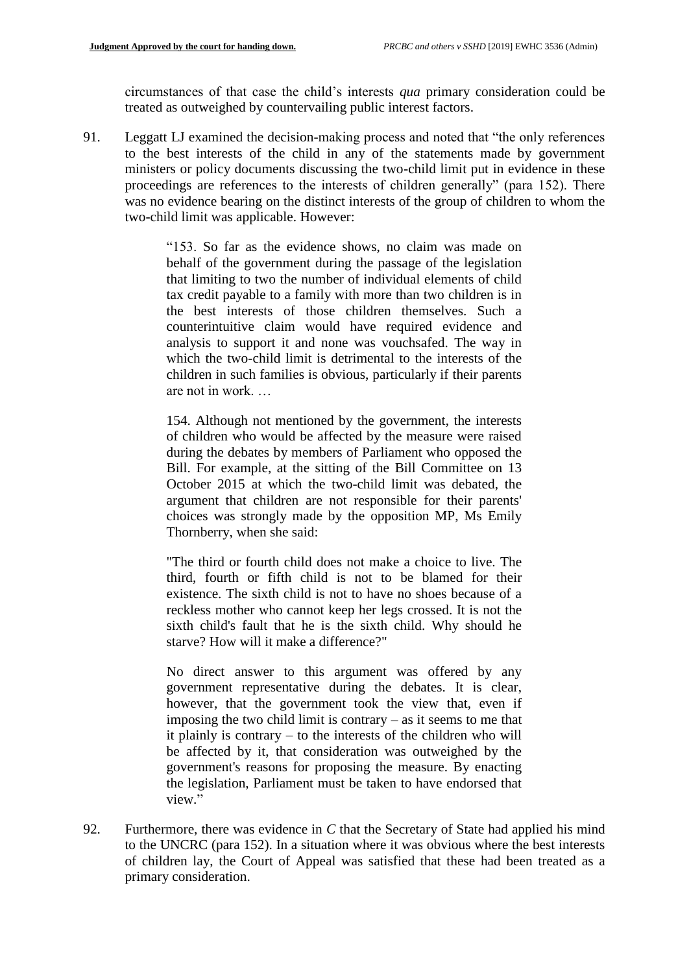circumstances of that case the child's interests *qua* primary consideration could be treated as outweighed by countervailing public interest factors.

91. Leggatt LJ examined the decision-making process and noted that "the only references to the best interests of the child in any of the statements made by government ministers or policy documents discussing the two-child limit put in evidence in these proceedings are references to the interests of children generally" (para 152). There was no evidence bearing on the distinct interests of the group of children to whom the two-child limit was applicable. However:

> "153. So far as the evidence shows, no claim was made on behalf of the government during the passage of the legislation that limiting to two the number of individual elements of child tax credit payable to a family with more than two children is in the best interests of those children themselves. Such a counterintuitive claim would have required evidence and analysis to support it and none was vouchsafed. The way in which the two-child limit is detrimental to the interests of the children in such families is obvious, particularly if their parents are not in work. …

> 154. Although not mentioned by the government, the interests of children who would be affected by the measure were raised during the debates by members of Parliament who opposed the Bill. For example, at the sitting of the Bill Committee on 13 October 2015 at which the two-child limit was debated, the argument that children are not responsible for their parents' choices was strongly made by the opposition MP, Ms Emily Thornberry, when she said:

> "The third or fourth child does not make a choice to live. The third, fourth or fifth child is not to be blamed for their existence. The sixth child is not to have no shoes because of a reckless mother who cannot keep her legs crossed. It is not the sixth child's fault that he is the sixth child. Why should he starve? How will it make a difference?"

> No direct answer to this argument was offered by any government representative during the debates. It is clear, however, that the government took the view that, even if imposing the two child limit is contrary – as it seems to me that it plainly is contrary – to the interests of the children who will be affected by it, that consideration was outweighed by the government's reasons for proposing the measure. By enacting the legislation, Parliament must be taken to have endorsed that view."

92. Furthermore, there was evidence in *C* that the Secretary of State had applied his mind to the UNCRC (para 152). In a situation where it was obvious where the best interests of children lay, the Court of Appeal was satisfied that these had been treated as a primary consideration.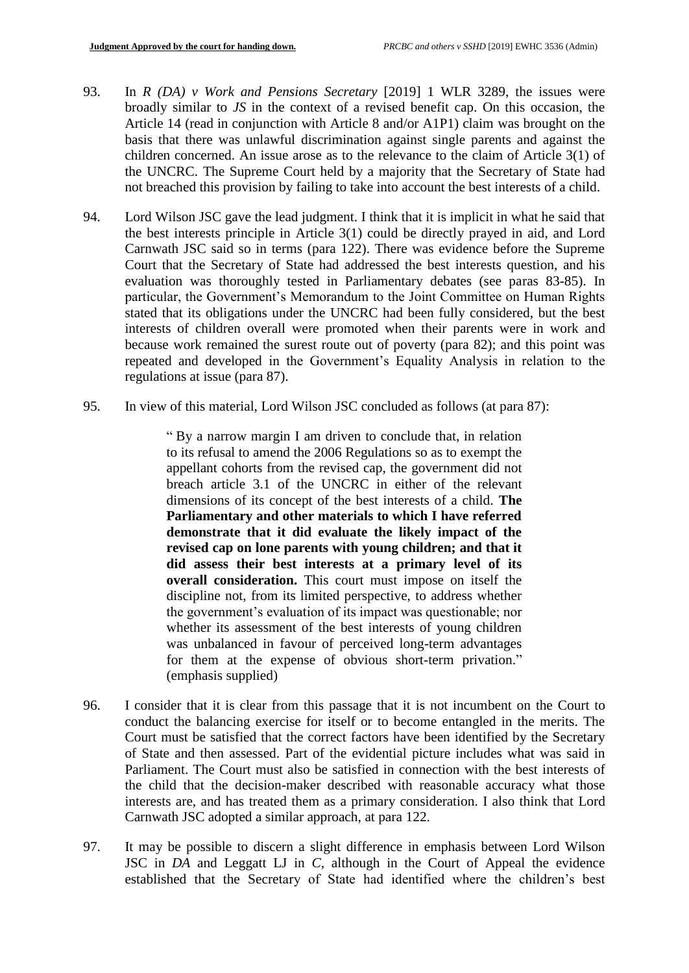- 93. In *R (DA) v Work and Pensions Secretary* [2019] 1 WLR 3289, the issues were broadly similar to *JS* in the context of a revised benefit cap. On this occasion, the Article 14 (read in conjunction with Article 8 and/or A1P1) claim was brought on the basis that there was unlawful discrimination against single parents and against the children concerned. An issue arose as to the relevance to the claim of Article 3(1) of the UNCRC. The Supreme Court held by a majority that the Secretary of State had not breached this provision by failing to take into account the best interests of a child.
- 94. Lord Wilson JSC gave the lead judgment. I think that it is implicit in what he said that the best interests principle in Article 3(1) could be directly prayed in aid, and Lord Carnwath JSC said so in terms (para 122). There was evidence before the Supreme Court that the Secretary of State had addressed the best interests question, and his evaluation was thoroughly tested in Parliamentary debates (see paras 83-85). In particular, the Government's Memorandum to the Joint Committee on Human Rights stated that its obligations under the UNCRC had been fully considered, but the best interests of children overall were promoted when their parents were in work and because work remained the surest route out of poverty (para 82); and this point was repeated and developed in the Government's Equality Analysis in relation to the regulations at issue (para 87).
- 95. In view of this material, Lord Wilson JSC concluded as follows (at para 87):

" By a narrow margin I am driven to conclude that, in relation to its refusal to amend the 2006 Regulations so as to exempt the appellant cohorts from the revised cap, the government did not breach article 3.1 of the UNCRC in either of the relevant dimensions of its concept of the best interests of a child. **The Parliamentary and other materials to which I have referred demonstrate that it did evaluate the likely impact of the revised cap on lone parents with young children; and that it did assess their best interests at a primary level of its overall consideration.** This court must impose on itself the discipline not, from its limited perspective, to address whether the government's evaluation of its impact was questionable; nor whether its assessment of the best interests of young children was unbalanced in favour of perceived long-term advantages for them at the expense of obvious short-term privation." (emphasis supplied)

- 96. I consider that it is clear from this passage that it is not incumbent on the Court to conduct the balancing exercise for itself or to become entangled in the merits. The Court must be satisfied that the correct factors have been identified by the Secretary of State and then assessed. Part of the evidential picture includes what was said in Parliament. The Court must also be satisfied in connection with the best interests of the child that the decision-maker described with reasonable accuracy what those interests are, and has treated them as a primary consideration. I also think that Lord Carnwath JSC adopted a similar approach, at para 122.
- 97. It may be possible to discern a slight difference in emphasis between Lord Wilson JSC in *DA* and Leggatt LJ in *C*, although in the Court of Appeal the evidence established that the Secretary of State had identified where the children's best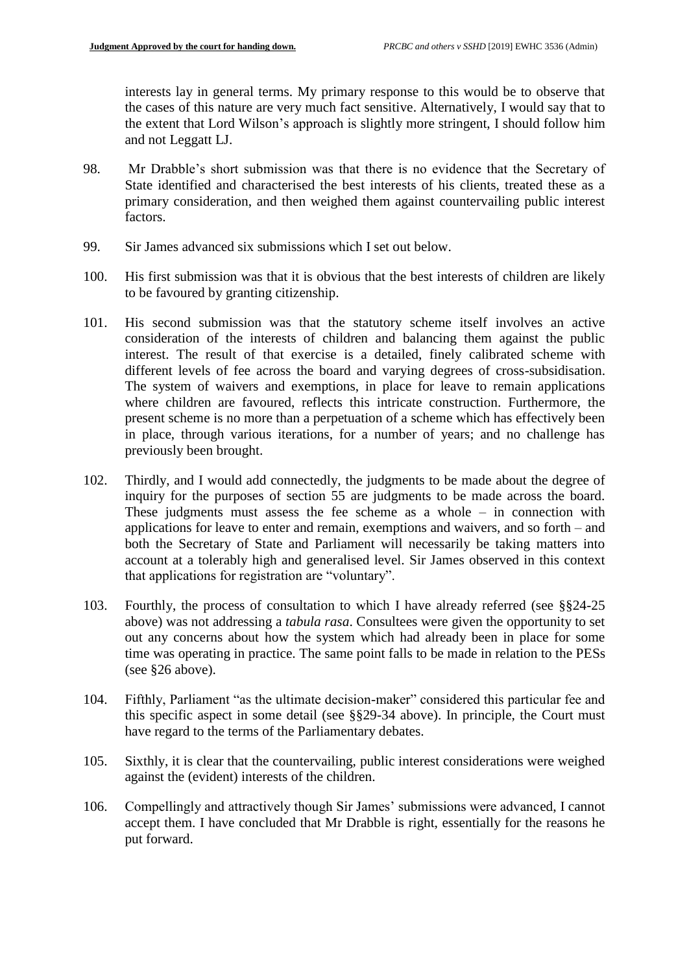interests lay in general terms. My primary response to this would be to observe that the cases of this nature are very much fact sensitive. Alternatively, I would say that to the extent that Lord Wilson's approach is slightly more stringent, I should follow him and not Leggatt LJ.

- 98. Mr Drabble's short submission was that there is no evidence that the Secretary of State identified and characterised the best interests of his clients, treated these as a primary consideration, and then weighed them against countervailing public interest factors.
- 99. Sir James advanced six submissions which I set out below.
- 100. His first submission was that it is obvious that the best interests of children are likely to be favoured by granting citizenship.
- 101. His second submission was that the statutory scheme itself involves an active consideration of the interests of children and balancing them against the public interest. The result of that exercise is a detailed, finely calibrated scheme with different levels of fee across the board and varying degrees of cross-subsidisation. The system of waivers and exemptions, in place for leave to remain applications where children are favoured, reflects this intricate construction. Furthermore, the present scheme is no more than a perpetuation of a scheme which has effectively been in place, through various iterations, for a number of years; and no challenge has previously been brought.
- 102. Thirdly, and I would add connectedly, the judgments to be made about the degree of inquiry for the purposes of section 55 are judgments to be made across the board. These judgments must assess the fee scheme as a whole – in connection with applications for leave to enter and remain, exemptions and waivers, and so forth – and both the Secretary of State and Parliament will necessarily be taking matters into account at a tolerably high and generalised level. Sir James observed in this context that applications for registration are "voluntary".
- 103. Fourthly, the process of consultation to which I have already referred (see §§24-25 above) was not addressing a *tabula rasa*. Consultees were given the opportunity to set out any concerns about how the system which had already been in place for some time was operating in practice. The same point falls to be made in relation to the PESs (see §26 above).
- 104. Fifthly, Parliament "as the ultimate decision-maker" considered this particular fee and this specific aspect in some detail (see §§29-34 above). In principle, the Court must have regard to the terms of the Parliamentary debates.
- 105. Sixthly, it is clear that the countervailing, public interest considerations were weighed against the (evident) interests of the children.
- 106. Compellingly and attractively though Sir James' submissions were advanced, I cannot accept them. I have concluded that Mr Drabble is right, essentially for the reasons he put forward.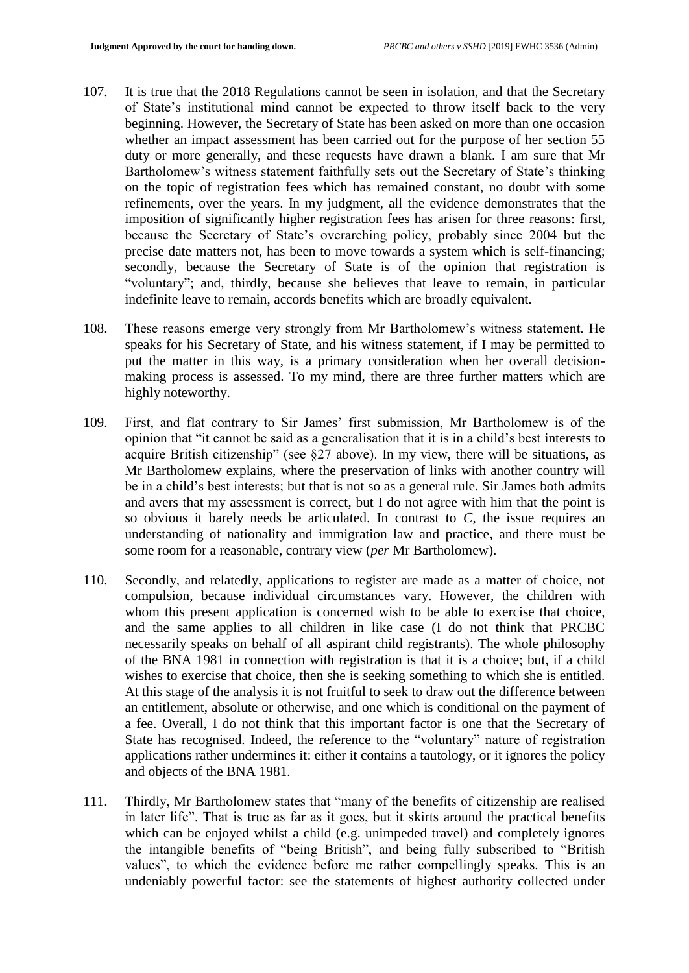- 107. It is true that the 2018 Regulations cannot be seen in isolation, and that the Secretary of State's institutional mind cannot be expected to throw itself back to the very beginning. However, the Secretary of State has been asked on more than one occasion whether an impact assessment has been carried out for the purpose of her section 55 duty or more generally, and these requests have drawn a blank. I am sure that Mr Bartholomew's witness statement faithfully sets out the Secretary of State's thinking on the topic of registration fees which has remained constant, no doubt with some refinements, over the years. In my judgment, all the evidence demonstrates that the imposition of significantly higher registration fees has arisen for three reasons: first, because the Secretary of State's overarching policy, probably since 2004 but the precise date matters not, has been to move towards a system which is self-financing; secondly, because the Secretary of State is of the opinion that registration is "voluntary"; and, thirdly, because she believes that leave to remain, in particular indefinite leave to remain, accords benefits which are broadly equivalent.
- 108. These reasons emerge very strongly from Mr Bartholomew's witness statement. He speaks for his Secretary of State, and his witness statement, if I may be permitted to put the matter in this way, is a primary consideration when her overall decisionmaking process is assessed. To my mind, there are three further matters which are highly noteworthy.
- 109. First, and flat contrary to Sir James' first submission, Mr Bartholomew is of the opinion that "it cannot be said as a generalisation that it is in a child's best interests to acquire British citizenship" (see §27 above). In my view, there will be situations, as Mr Bartholomew explains, where the preservation of links with another country will be in a child's best interests; but that is not so as a general rule. Sir James both admits and avers that my assessment is correct, but I do not agree with him that the point is so obvious it barely needs be articulated. In contrast to *C*, the issue requires an understanding of nationality and immigration law and practice, and there must be some room for a reasonable, contrary view (*per* Mr Bartholomew).
- 110. Secondly, and relatedly, applications to register are made as a matter of choice, not compulsion, because individual circumstances vary. However, the children with whom this present application is concerned wish to be able to exercise that choice, and the same applies to all children in like case (I do not think that PRCBC necessarily speaks on behalf of all aspirant child registrants). The whole philosophy of the BNA 1981 in connection with registration is that it is a choice; but, if a child wishes to exercise that choice, then she is seeking something to which she is entitled. At this stage of the analysis it is not fruitful to seek to draw out the difference between an entitlement, absolute or otherwise, and one which is conditional on the payment of a fee. Overall, I do not think that this important factor is one that the Secretary of State has recognised. Indeed, the reference to the "voluntary" nature of registration applications rather undermines it: either it contains a tautology, or it ignores the policy and objects of the BNA 1981.
- 111. Thirdly, Mr Bartholomew states that "many of the benefits of citizenship are realised in later life". That is true as far as it goes, but it skirts around the practical benefits which can be enjoyed whilst a child (e.g. unimpeded travel) and completely ignores the intangible benefits of "being British", and being fully subscribed to "British values", to which the evidence before me rather compellingly speaks. This is an undeniably powerful factor: see the statements of highest authority collected under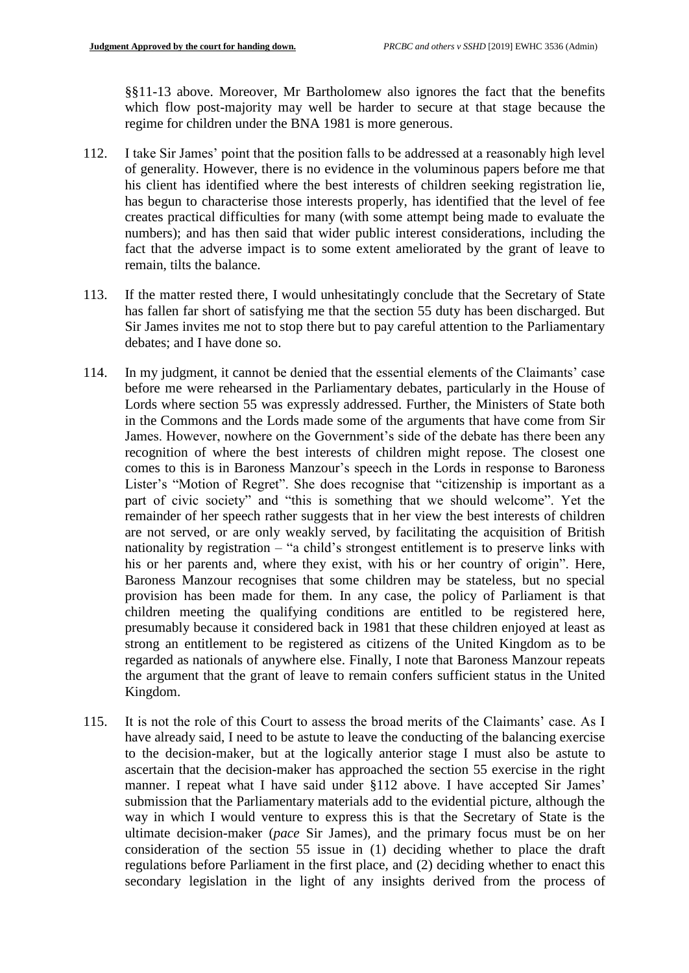§§11-13 above. Moreover, Mr Bartholomew also ignores the fact that the benefits which flow post-majority may well be harder to secure at that stage because the regime for children under the BNA 1981 is more generous.

- 112. I take Sir James' point that the position falls to be addressed at a reasonably high level of generality. However, there is no evidence in the voluminous papers before me that his client has identified where the best interests of children seeking registration lie, has begun to characterise those interests properly, has identified that the level of fee creates practical difficulties for many (with some attempt being made to evaluate the numbers); and has then said that wider public interest considerations, including the fact that the adverse impact is to some extent ameliorated by the grant of leave to remain, tilts the balance.
- 113. If the matter rested there, I would unhesitatingly conclude that the Secretary of State has fallen far short of satisfying me that the section 55 duty has been discharged. But Sir James invites me not to stop there but to pay careful attention to the Parliamentary debates; and I have done so.
- 114. In my judgment, it cannot be denied that the essential elements of the Claimants' case before me were rehearsed in the Parliamentary debates, particularly in the House of Lords where section 55 was expressly addressed. Further, the Ministers of State both in the Commons and the Lords made some of the arguments that have come from Sir James. However, nowhere on the Government's side of the debate has there been any recognition of where the best interests of children might repose. The closest one comes to this is in Baroness Manzour's speech in the Lords in response to Baroness Lister's "Motion of Regret". She does recognise that "citizenship is important as a part of civic society" and "this is something that we should welcome". Yet the remainder of her speech rather suggests that in her view the best interests of children are not served, or are only weakly served, by facilitating the acquisition of British nationality by registration – "a child's strongest entitlement is to preserve links with his or her parents and, where they exist, with his or her country of origin". Here, Baroness Manzour recognises that some children may be stateless, but no special provision has been made for them. In any case, the policy of Parliament is that children meeting the qualifying conditions are entitled to be registered here, presumably because it considered back in 1981 that these children enjoyed at least as strong an entitlement to be registered as citizens of the United Kingdom as to be regarded as nationals of anywhere else. Finally, I note that Baroness Manzour repeats the argument that the grant of leave to remain confers sufficient status in the United Kingdom.
- 115. It is not the role of this Court to assess the broad merits of the Claimants' case. As I have already said, I need to be astute to leave the conducting of the balancing exercise to the decision-maker, but at the logically anterior stage I must also be astute to ascertain that the decision-maker has approached the section 55 exercise in the right manner. I repeat what I have said under §112 above. I have accepted Sir James' submission that the Parliamentary materials add to the evidential picture, although the way in which I would venture to express this is that the Secretary of State is the ultimate decision-maker (*pace* Sir James), and the primary focus must be on her consideration of the section 55 issue in (1) deciding whether to place the draft regulations before Parliament in the first place, and (2) deciding whether to enact this secondary legislation in the light of any insights derived from the process of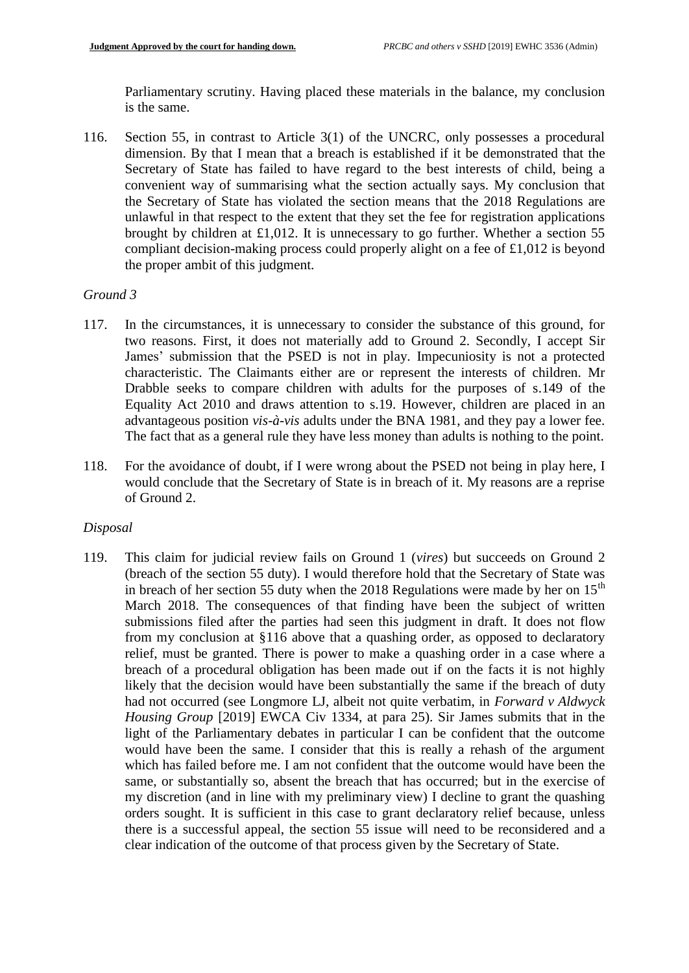Parliamentary scrutiny. Having placed these materials in the balance, my conclusion is the same.

116. Section 55, in contrast to Article 3(1) of the UNCRC, only possesses a procedural dimension. By that I mean that a breach is established if it be demonstrated that the Secretary of State has failed to have regard to the best interests of child, being a convenient way of summarising what the section actually says. My conclusion that the Secretary of State has violated the section means that the 2018 Regulations are unlawful in that respect to the extent that they set the fee for registration applications brought by children at £1,012. It is unnecessary to go further. Whether a section 55 compliant decision-making process could properly alight on a fee of £1,012 is beyond the proper ambit of this judgment.

### *Ground 3*

- 117. In the circumstances, it is unnecessary to consider the substance of this ground, for two reasons. First, it does not materially add to Ground 2. Secondly, I accept Sir James' submission that the PSED is not in play. Impecuniosity is not a protected characteristic. The Claimants either are or represent the interests of children. Mr Drabble seeks to compare children with adults for the purposes of s.149 of the Equality Act 2010 and draws attention to s.19. However, children are placed in an advantageous position *vis-à-vis* adults under the BNA 1981, and they pay a lower fee. The fact that as a general rule they have less money than adults is nothing to the point.
- 118. For the avoidance of doubt, if I were wrong about the PSED not being in play here, I would conclude that the Secretary of State is in breach of it. My reasons are a reprise of Ground 2.

#### *Disposal*

119. This claim for judicial review fails on Ground 1 (*vires*) but succeeds on Ground 2 (breach of the section 55 duty). I would therefore hold that the Secretary of State was in breach of her section 55 duty when the 2018 Regulations were made by her on  $15<sup>th</sup>$ March 2018. The consequences of that finding have been the subject of written submissions filed after the parties had seen this judgment in draft. It does not flow from my conclusion at §116 above that a quashing order, as opposed to declaratory relief, must be granted. There is power to make a quashing order in a case where a breach of a procedural obligation has been made out if on the facts it is not highly likely that the decision would have been substantially the same if the breach of duty had not occurred (see Longmore LJ, albeit not quite verbatim, in *Forward v Aldwyck Housing Group* [2019] EWCA Civ 1334, at para 25). Sir James submits that in the light of the Parliamentary debates in particular I can be confident that the outcome would have been the same. I consider that this is really a rehash of the argument which has failed before me. I am not confident that the outcome would have been the same, or substantially so, absent the breach that has occurred; but in the exercise of my discretion (and in line with my preliminary view) I decline to grant the quashing orders sought. It is sufficient in this case to grant declaratory relief because, unless there is a successful appeal, the section 55 issue will need to be reconsidered and a clear indication of the outcome of that process given by the Secretary of State.